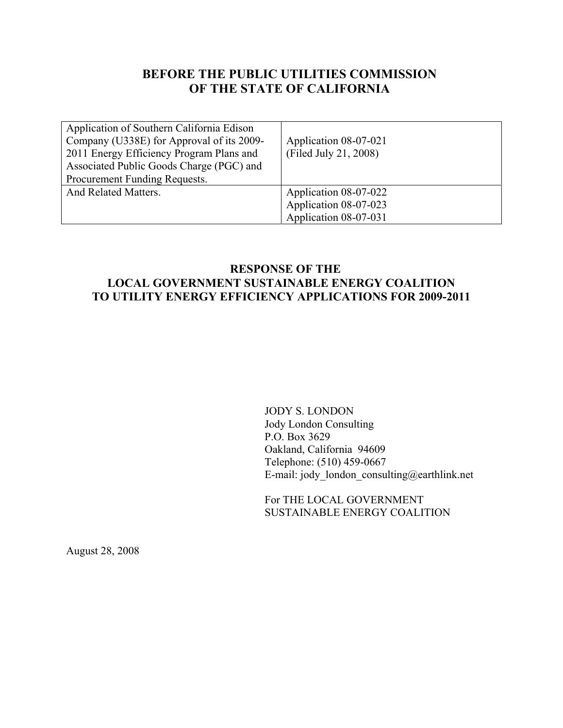# **BEFORE THE PUBLIC UTILITIES COMMISSION OF THE STATE OF CALIFORNIA**

| Application of Southern California Edison<br>Company (U338E) for Approval of its 2009-<br>2011 Energy Efficiency Program Plans and<br>Associated Public Goods Charge (PGC) and<br>Procurement Funding Requests. | Application 08-07-021<br>(Filed July 21, 2008)                          |
|-----------------------------------------------------------------------------------------------------------------------------------------------------------------------------------------------------------------|-------------------------------------------------------------------------|
| And Related Matters.                                                                                                                                                                                            | Application 08-07-022<br>Application 08-07-023<br>Application 08-07-031 |

# **RESPONSE OF THE LOCAL GOVERNMENT SUSTAINABLE ENERGY COALITION TO UTILITY ENERGY EFFICIENCY APPLICATIONS FOR 2009-2011**

JODY S. LONDON Jody London Consulting P.O. Box 3629 Oakland, California 94609 Telephone: (510) 459-0667 E-mail: jody\_london\_consulting@earthlink.net

For THE LOCAL GOVERNMENT SUSTAINABLE ENERGY COALITION

August 28, 2008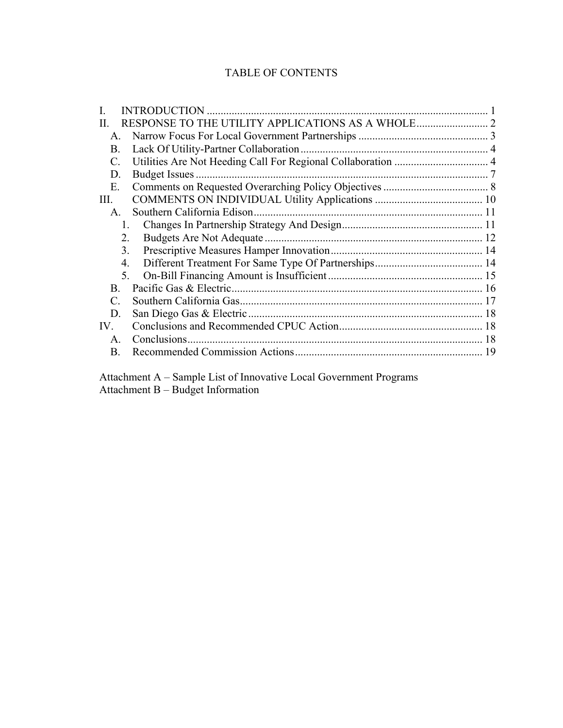# TABLE OF CONTENTS

|                | <b>INTRODUCTION</b> |  |
|----------------|---------------------|--|
| H.             |                     |  |
| $\mathsf{A}$   |                     |  |
| B.             |                     |  |
| C.             |                     |  |
| D.             |                     |  |
| Е.             |                     |  |
| Ш.             |                     |  |
| A.             |                     |  |
|                | $\mathbf{1}$        |  |
|                | 2.                  |  |
|                | 3.                  |  |
|                | 4.                  |  |
|                | 5.                  |  |
| B.             |                     |  |
| $\mathcal{C}$  |                     |  |
| D.             |                     |  |
| IV.            |                     |  |
| $\mathsf{A}$ . |                     |  |
| B.             |                     |  |
|                |                     |  |

 Attachment A – Sample List of Innovative Local Government Programs Attachment B – Budget Information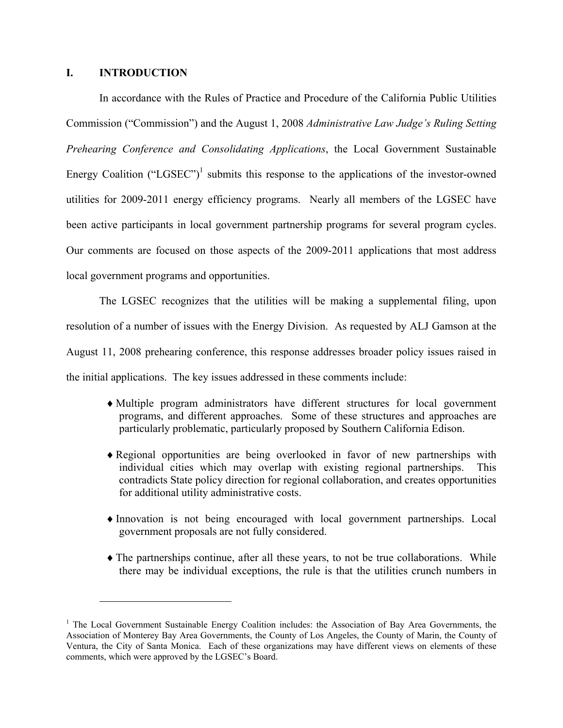## **I. INTRODUCTION**

 $\overline{a}$ 

In accordance with the Rules of Practice and Procedure of the California Public Utilities Commission ("Commission") and the August 1, 2008 *Administrative Law Judge's Ruling Setting Prehearing Conference and Consolidating Applications*, the Local Government Sustainable Energy Coalition ("LGSEC")<sup>1</sup> submits this response to the applications of the investor-owned utilities for 2009-2011 energy efficiency programs. Nearly all members of the LGSEC have been active participants in local government partnership programs for several program cycles. Our comments are focused on those aspects of the 2009-2011 applications that most address local government programs and opportunities.

The LGSEC recognizes that the utilities will be making a supplemental filing, upon resolution of a number of issues with the Energy Division. As requested by ALJ Gamson at the August 11, 2008 prehearing conference, this response addresses broader policy issues raised in the initial applications. The key issues addressed in these comments include:

- ♦Multiple program administrators have different structures for local government programs, and different approaches. Some of these structures and approaches are particularly problematic, particularly proposed by Southern California Edison.
- ♦Regional opportunities are being overlooked in favor of new partnerships with individual cities which may overlap with existing regional partnerships. This contradicts State policy direction for regional collaboration, and creates opportunities for additional utility administrative costs.
- ♦Innovation is not being encouraged with local government partnerships. Local government proposals are not fully considered.
- ♦The partnerships continue, after all these years, to not be true collaborations. While there may be individual exceptions, the rule is that the utilities crunch numbers in

<sup>&</sup>lt;sup>1</sup> The Local Government Sustainable Energy Coalition includes: the Association of Bay Area Governments, the Association of Monterey Bay Area Governments, the County of Los Angeles, the County of Marin, the County of Ventura, the City of Santa Monica. Each of these organizations may have different views on elements of these comments, which were approved by the LGSEC's Board.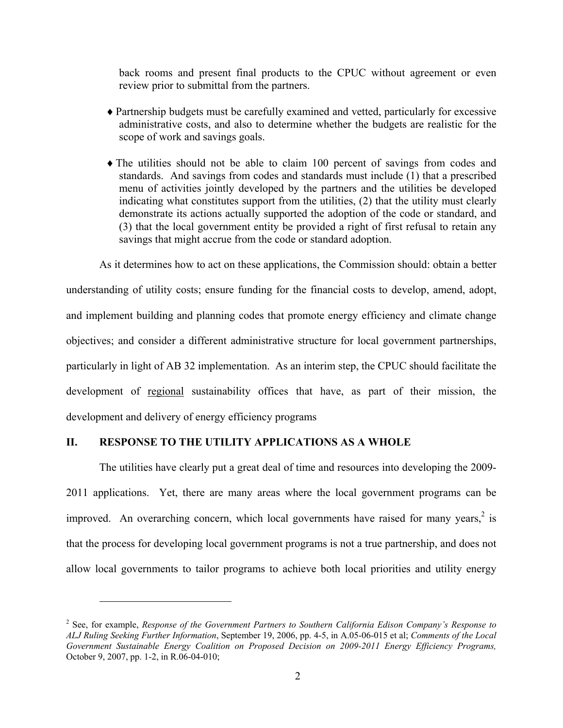back rooms and present final products to the CPUC without agreement or even review prior to submittal from the partners.

- ♦Partnership budgets must be carefully examined and vetted, particularly for excessive administrative costs, and also to determine whether the budgets are realistic for the scope of work and savings goals.
- ♦The utilities should not be able to claim 100 percent of savings from codes and standards. And savings from codes and standards must include (1) that a prescribed menu of activities jointly developed by the partners and the utilities be developed indicating what constitutes support from the utilities, (2) that the utility must clearly demonstrate its actions actually supported the adoption of the code or standard, and (3) that the local government entity be provided a right of first refusal to retain any savings that might accrue from the code or standard adoption.

As it determines how to act on these applications, the Commission should: obtain a better understanding of utility costs; ensure funding for the financial costs to develop, amend, adopt, and implement building and planning codes that promote energy efficiency and climate change objectives; and consider a different administrative structure for local government partnerships, particularly in light of AB 32 implementation. As an interim step, the CPUC should facilitate the development of regional sustainability offices that have, as part of their mission, the development and delivery of energy efficiency programs

# **II. RESPONSE TO THE UTILITY APPLICATIONS AS A WHOLE**

 $\overline{a}$ 

The utilities have clearly put a great deal of time and resources into developing the 2009- 2011 applications. Yet, there are many areas where the local government programs can be improved. An overarching concern, which local governments have raised for many years, $2$  is that the process for developing local government programs is not a true partnership, and does not allow local governments to tailor programs to achieve both local priorities and utility energy

<sup>2</sup> See, for example, *Response of the Government Partners to Southern California Edison Company's Response to ALJ Ruling Seeking Further Information*, September 19, 2006, pp. 4-5, in A.05-06-015 et al; *Comments of the Local Government Sustainable Energy Coalition on Proposed Decision on 2009-2011 Energy Efficiency Programs,* October 9, 2007, pp. 1-2, in R.06-04-010;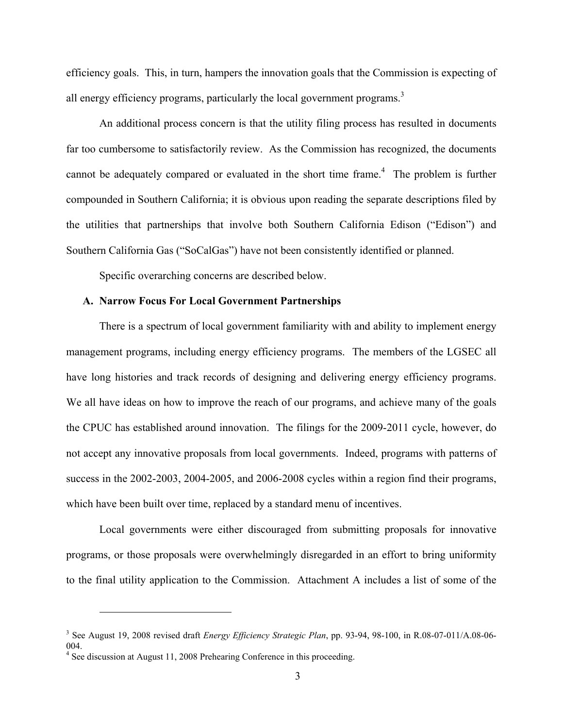efficiency goals. This, in turn, hampers the innovation goals that the Commission is expecting of all energy efficiency programs, particularly the local government programs.<sup>3</sup>

An additional process concern is that the utility filing process has resulted in documents far too cumbersome to satisfactorily review. As the Commission has recognized, the documents cannot be adequately compared or evaluated in the short time frame. $4$  The problem is further compounded in Southern California; it is obvious upon reading the separate descriptions filed by the utilities that partnerships that involve both Southern California Edison ("Edison") and Southern California Gas ("SoCalGas") have not been consistently identified or planned.

Specific overarching concerns are described below.

### **A. Narrow Focus For Local Government Partnerships**

There is a spectrum of local government familiarity with and ability to implement energy management programs, including energy efficiency programs. The members of the LGSEC all have long histories and track records of designing and delivering energy efficiency programs. We all have ideas on how to improve the reach of our programs, and achieve many of the goals the CPUC has established around innovation. The filings for the 2009-2011 cycle, however, do not accept any innovative proposals from local governments. Indeed, programs with patterns of success in the 2002-2003, 2004-2005, and 2006-2008 cycles within a region find their programs, which have been built over time, replaced by a standard menu of incentives.

Local governments were either discouraged from submitting proposals for innovative programs, or those proposals were overwhelmingly disregarded in an effort to bring uniformity to the final utility application to the Commission. Attachment A includes a list of some of the

 $\overline{a}$ 

<sup>3</sup> See August 19, 2008 revised draft *Energy Efficiency Strategic Plan*, pp. 93-94, 98-100, in R.08-07-011/A.08-06- 004.

<sup>&</sup>lt;sup>4</sup> See discussion at August 11, 2008 Prehearing Conference in this proceeding.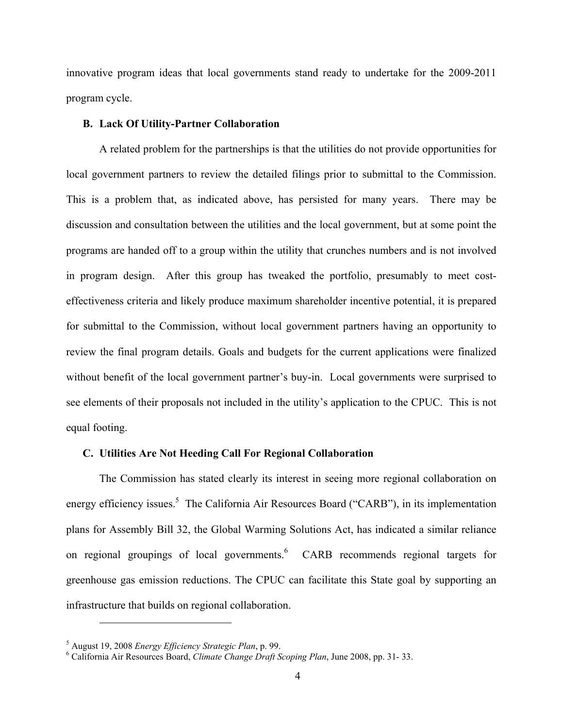innovative program ideas that local governments stand ready to undertake for the 2009-2011 program cycle.

## **B. Lack Of Utility-Partner Collaboration**

A related problem for the partnerships is that the utilities do not provide opportunities for local government partners to review the detailed filings prior to submittal to the Commission. This is a problem that, as indicated above, has persisted for many years. There may be discussion and consultation between the utilities and the local government, but at some point the programs are handed off to a group within the utility that crunches numbers and is not involved in program design. After this group has tweaked the portfolio, presumably to meet costeffectiveness criteria and likely produce maximum shareholder incentive potential, it is prepared for submittal to the Commission, without local government partners having an opportunity to review the final program details. Goals and budgets for the current applications were finalized without benefit of the local government partner's buy-in. Local governments were surprised to see elements of their proposals not included in the utility's application to the CPUC. This is not equal footing.

## **C. Utilities Are Not Heeding Call For Regional Collaboration**

The Commission has stated clearly its interest in seeing more regional collaboration on energy efficiency issues.<sup>5</sup> The California Air Resources Board ("CARB"), in its implementation plans for Assembly Bill 32, the Global Warming Solutions Act, has indicated a similar reliance on regional groupings of local governments.<sup>6</sup> CARB recommends regional targets for greenhouse gas emission reductions. The CPUC can facilitate this State goal by supporting an infrastructure that builds on regional collaboration.

 $\overline{a}$ 

<sup>&</sup>lt;sup>5</sup> August 19, 2008 *Energy Efficiency Strategic Plan*, p. 99.<br><sup>6</sup> Colifornia Air Besources Board, Climate Change Duatt S.

California Air Resources Board, *Climate Change Draft Scoping Plan*, June 2008, pp. 31- 33.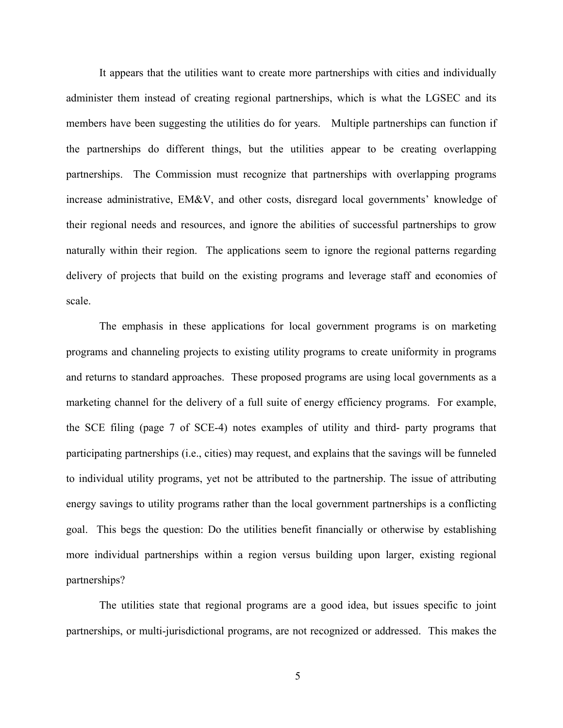It appears that the utilities want to create more partnerships with cities and individually administer them instead of creating regional partnerships, which is what the LGSEC and its members have been suggesting the utilities do for years. Multiple partnerships can function if the partnerships do different things, but the utilities appear to be creating overlapping partnerships. The Commission must recognize that partnerships with overlapping programs increase administrative, EM&V, and other costs, disregard local governments' knowledge of their regional needs and resources, and ignore the abilities of successful partnerships to grow naturally within their region. The applications seem to ignore the regional patterns regarding delivery of projects that build on the existing programs and leverage staff and economies of scale.

The emphasis in these applications for local government programs is on marketing programs and channeling projects to existing utility programs to create uniformity in programs and returns to standard approaches. These proposed programs are using local governments as a marketing channel for the delivery of a full suite of energy efficiency programs. For example, the SCE filing (page 7 of SCE-4) notes examples of utility and third- party programs that participating partnerships (i.e., cities) may request, and explains that the savings will be funneled to individual utility programs, yet not be attributed to the partnership. The issue of attributing energy savings to utility programs rather than the local government partnerships is a conflicting goal. This begs the question: Do the utilities benefit financially or otherwise by establishing more individual partnerships within a region versus building upon larger, existing regional partnerships?

The utilities state that regional programs are a good idea, but issues specific to joint partnerships, or multi-jurisdictional programs, are not recognized or addressed. This makes the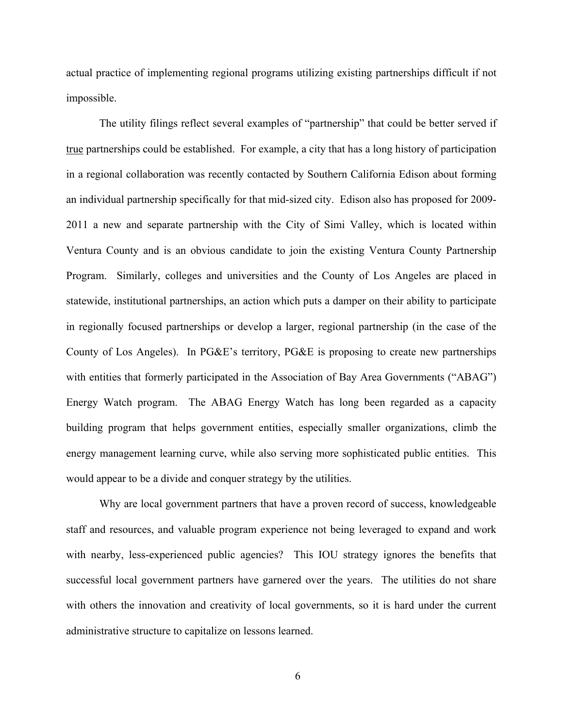actual practice of implementing regional programs utilizing existing partnerships difficult if not impossible.

The utility filings reflect several examples of "partnership" that could be better served if true partnerships could be established. For example, a city that has a long history of participation in a regional collaboration was recently contacted by Southern California Edison about forming an individual partnership specifically for that mid-sized city. Edison also has proposed for 2009- 2011 a new and separate partnership with the City of Simi Valley, which is located within Ventura County and is an obvious candidate to join the existing Ventura County Partnership Program. Similarly, colleges and universities and the County of Los Angeles are placed in statewide, institutional partnerships, an action which puts a damper on their ability to participate in regionally focused partnerships or develop a larger, regional partnership (in the case of the County of Los Angeles). In PG&E's territory, PG&E is proposing to create new partnerships with entities that formerly participated in the Association of Bay Area Governments ("ABAG") Energy Watch program. The ABAG Energy Watch has long been regarded as a capacity building program that helps government entities, especially smaller organizations, climb the energy management learning curve, while also serving more sophisticated public entities. This would appear to be a divide and conquer strategy by the utilities.

Why are local government partners that have a proven record of success, knowledgeable staff and resources, and valuable program experience not being leveraged to expand and work with nearby, less-experienced public agencies? This IOU strategy ignores the benefits that successful local government partners have garnered over the years. The utilities do not share with others the innovation and creativity of local governments, so it is hard under the current administrative structure to capitalize on lessons learned.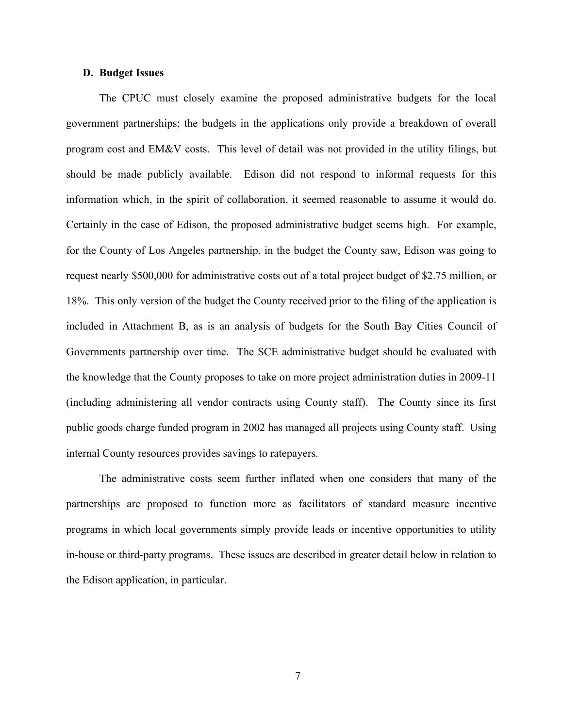#### **D. Budget Issues**

The CPUC must closely examine the proposed administrative budgets for the local government partnerships; the budgets in the applications only provide a breakdown of overall program cost and EM&V costs. This level of detail was not provided in the utility filings, but should be made publicly available. Edison did not respond to informal requests for this information which, in the spirit of collaboration, it seemed reasonable to assume it would do. Certainly in the case of Edison, the proposed administrative budget seems high. For example, for the County of Los Angeles partnership, in the budget the County saw, Edison was going to request nearly \$500,000 for administrative costs out of a total project budget of \$2.75 million, or 18%. This only version of the budget the County received prior to the filing of the application is included in Attachment B, as is an analysis of budgets for the South Bay Cities Council of Governments partnership over time. The SCE administrative budget should be evaluated with the knowledge that the County proposes to take on more project administration duties in 2009-11 (including administering all vendor contracts using County staff). The County since its first public goods charge funded program in 2002 has managed all projects using County staff. Using internal County resources provides savings to ratepayers.

The administrative costs seem further inflated when one considers that many of the partnerships are proposed to function more as facilitators of standard measure incentive programs in which local governments simply provide leads or incentive opportunities to utility in-house or third-party programs. These issues are described in greater detail below in relation to the Edison application, in particular.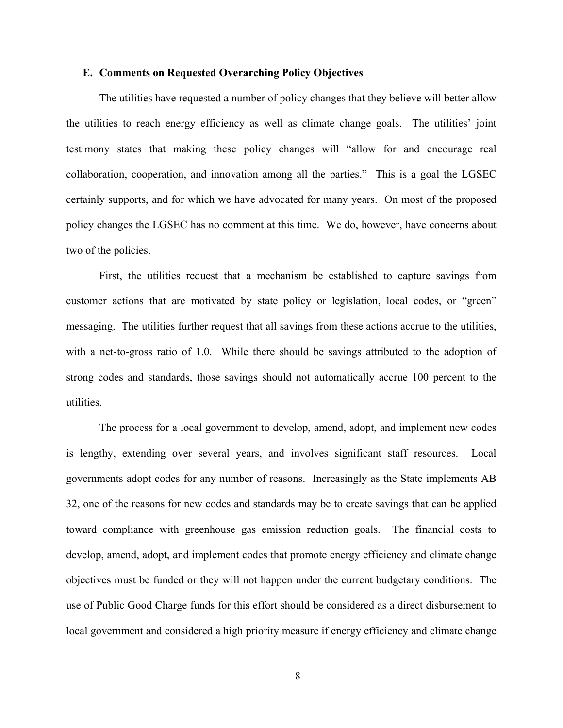#### **E. Comments on Requested Overarching Policy Objectives**

The utilities have requested a number of policy changes that they believe will better allow the utilities to reach energy efficiency as well as climate change goals. The utilities' joint testimony states that making these policy changes will "allow for and encourage real collaboration, cooperation, and innovation among all the parties." This is a goal the LGSEC certainly supports, and for which we have advocated for many years. On most of the proposed policy changes the LGSEC has no comment at this time. We do, however, have concerns about two of the policies.

First, the utilities request that a mechanism be established to capture savings from customer actions that are motivated by state policy or legislation, local codes, or "green" messaging. The utilities further request that all savings from these actions accrue to the utilities, with a net-to-gross ratio of 1.0. While there should be savings attributed to the adoption of strong codes and standards, those savings should not automatically accrue 100 percent to the utilities.

The process for a local government to develop, amend, adopt, and implement new codes is lengthy, extending over several years, and involves significant staff resources. Local governments adopt codes for any number of reasons. Increasingly as the State implements AB 32, one of the reasons for new codes and standards may be to create savings that can be applied toward compliance with greenhouse gas emission reduction goals. The financial costs to develop, amend, adopt, and implement codes that promote energy efficiency and climate change objectives must be funded or they will not happen under the current budgetary conditions. The use of Public Good Charge funds for this effort should be considered as a direct disbursement to local government and considered a high priority measure if energy efficiency and climate change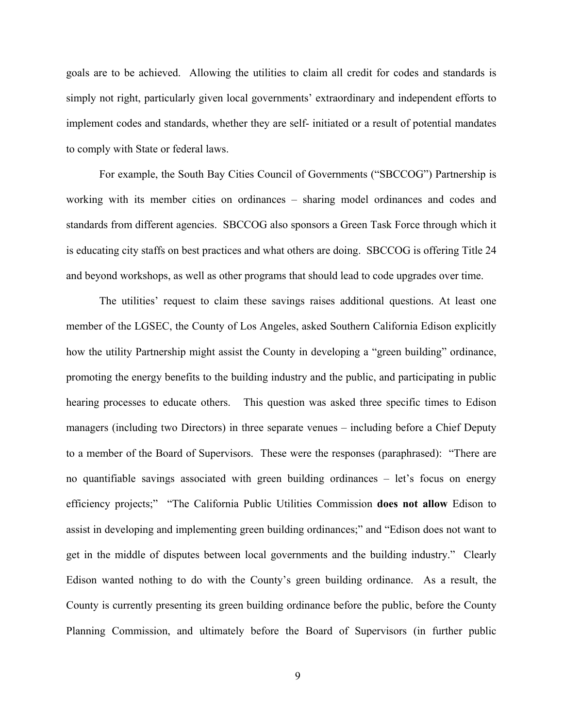goals are to be achieved. Allowing the utilities to claim all credit for codes and standards is simply not right, particularly given local governments' extraordinary and independent efforts to implement codes and standards, whether they are self- initiated or a result of potential mandates to comply with State or federal laws.

For example, the South Bay Cities Council of Governments ("SBCCOG") Partnership is working with its member cities on ordinances – sharing model ordinances and codes and standards from different agencies. SBCCOG also sponsors a Green Task Force through which it is educating city staffs on best practices and what others are doing. SBCCOG is offering Title 24 and beyond workshops, as well as other programs that should lead to code upgrades over time.

The utilities' request to claim these savings raises additional questions. At least one member of the LGSEC, the County of Los Angeles, asked Southern California Edison explicitly how the utility Partnership might assist the County in developing a "green building" ordinance, promoting the energy benefits to the building industry and the public, and participating in public hearing processes to educate others. This question was asked three specific times to Edison managers (including two Directors) in three separate venues – including before a Chief Deputy to a member of the Board of Supervisors. These were the responses (paraphrased): "There are no quantifiable savings associated with green building ordinances – let's focus on energy efficiency projects;" "The California Public Utilities Commission **does not allow** Edison to assist in developing and implementing green building ordinances;" and "Edison does not want to get in the middle of disputes between local governments and the building industry." Clearly Edison wanted nothing to do with the County's green building ordinance. As a result, the County is currently presenting its green building ordinance before the public, before the County Planning Commission, and ultimately before the Board of Supervisors (in further public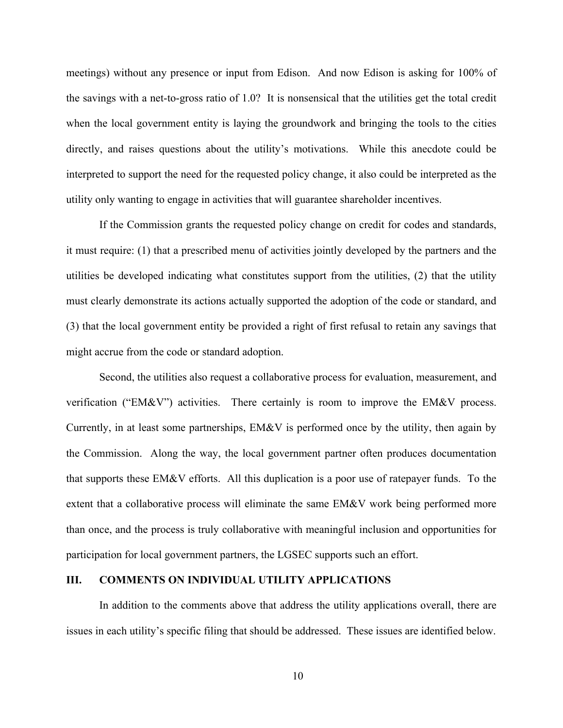meetings) without any presence or input from Edison. And now Edison is asking for 100% of the savings with a net-to-gross ratio of 1.0? It is nonsensical that the utilities get the total credit when the local government entity is laying the groundwork and bringing the tools to the cities directly, and raises questions about the utility's motivations. While this anecdote could be interpreted to support the need for the requested policy change, it also could be interpreted as the utility only wanting to engage in activities that will guarantee shareholder incentives.

If the Commission grants the requested policy change on credit for codes and standards, it must require: (1) that a prescribed menu of activities jointly developed by the partners and the utilities be developed indicating what constitutes support from the utilities, (2) that the utility must clearly demonstrate its actions actually supported the adoption of the code or standard, and (3) that the local government entity be provided a right of first refusal to retain any savings that might accrue from the code or standard adoption.

Second, the utilities also request a collaborative process for evaluation, measurement, and verification ("EM&V") activities. There certainly is room to improve the EM&V process. Currently, in at least some partnerships, EM&V is performed once by the utility, then again by the Commission. Along the way, the local government partner often produces documentation that supports these EM&V efforts. All this duplication is a poor use of ratepayer funds. To the extent that a collaborative process will eliminate the same EM&V work being performed more than once, and the process is truly collaborative with meaningful inclusion and opportunities for participation for local government partners, the LGSEC supports such an effort.

#### **III. COMMENTS ON INDIVIDUAL UTILITY APPLICATIONS**

In addition to the comments above that address the utility applications overall, there are issues in each utility's specific filing that should be addressed. These issues are identified below.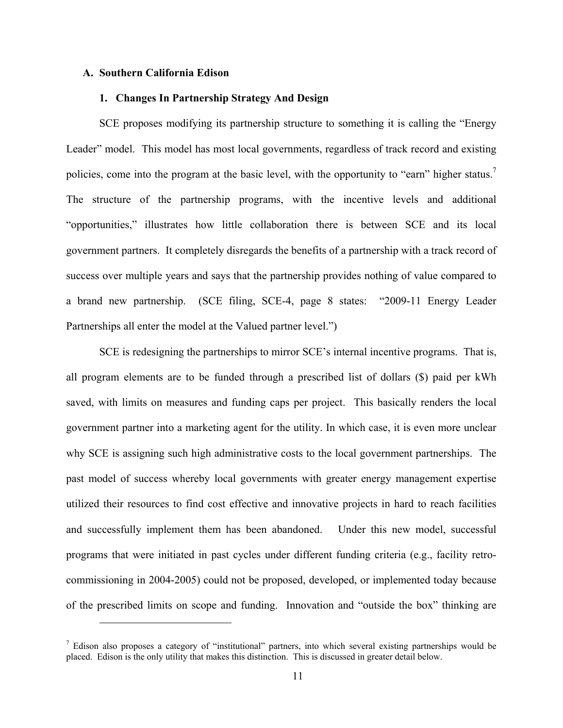#### **A. Southern California Edison**

1

#### **1. Changes In Partnership Strategy And Design**

SCE proposes modifying its partnership structure to something it is calling the "Energy Leader" model. This model has most local governments, regardless of track record and existing policies, come into the program at the basic level, with the opportunity to "earn" higher status.<sup>7</sup> The structure of the partnership programs, with the incentive levels and additional "opportunities," illustrates how little collaboration there is between SCE and its local government partners. It completely disregards the benefits of a partnership with a track record of success over multiple years and says that the partnership provides nothing of value compared to a brand new partnership. (SCE filing, SCE-4, page 8 states: "2009-11 Energy Leader Partnerships all enter the model at the Valued partner level.")

SCE is redesigning the partnerships to mirror SCE's internal incentive programs. That is, all program elements are to be funded through a prescribed list of dollars (\$) paid per kWh saved, with limits on measures and funding caps per project. This basically renders the local government partner into a marketing agent for the utility. In which case, it is even more unclear why SCE is assigning such high administrative costs to the local government partnerships. The past model of success whereby local governments with greater energy management expertise utilized their resources to find cost effective and innovative projects in hard to reach facilities and successfully implement them has been abandoned. Under this new model, successful programs that were initiated in past cycles under different funding criteria (e.g., facility retrocommissioning in 2004-2005) could not be proposed, developed, or implemented today because of the prescribed limits on scope and funding. Innovation and "outside the box" thinking are

<sup>&</sup>lt;sup>7</sup> Edison also proposes a category of "institutional" partners, into which several existing partnerships would be placed. Edison is the only utility that makes this distinction. This is discussed in greater detail below.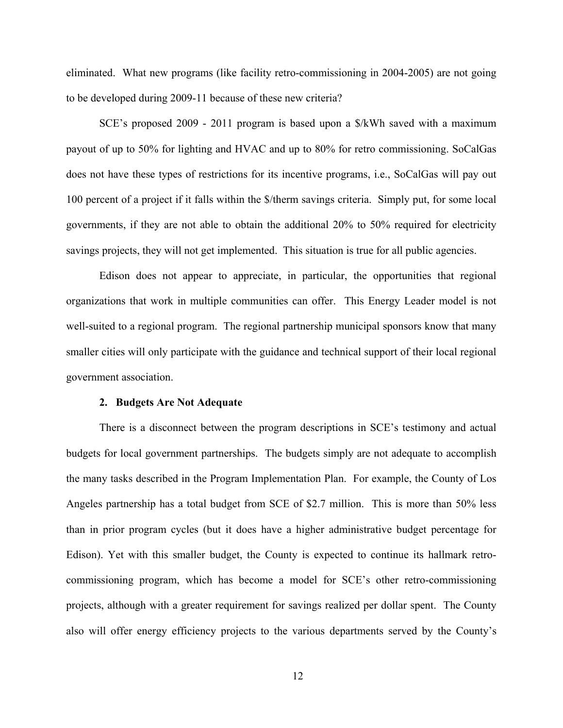eliminated. What new programs (like facility retro-commissioning in 2004-2005) are not going to be developed during 2009-11 because of these new criteria?

SCE's proposed 2009 - 2011 program is based upon a \$/kWh saved with a maximum payout of up to 50% for lighting and HVAC and up to 80% for retro commissioning. SoCalGas does not have these types of restrictions for its incentive programs, i.e., SoCalGas will pay out 100 percent of a project if it falls within the \$/therm savings criteria. Simply put, for some local governments, if they are not able to obtain the additional 20% to 50% required for electricity savings projects, they will not get implemented. This situation is true for all public agencies.

Edison does not appear to appreciate, in particular, the opportunities that regional organizations that work in multiple communities can offer. This Energy Leader model is not well-suited to a regional program. The regional partnership municipal sponsors know that many smaller cities will only participate with the guidance and technical support of their local regional government association.

#### **2. Budgets Are Not Adequate**

 There is a disconnect between the program descriptions in SCE's testimony and actual budgets for local government partnerships. The budgets simply are not adequate to accomplish the many tasks described in the Program Implementation Plan. For example, the County of Los Angeles partnership has a total budget from SCE of \$2.7 million. This is more than 50% less than in prior program cycles (but it does have a higher administrative budget percentage for Edison). Yet with this smaller budget, the County is expected to continue its hallmark retrocommissioning program, which has become a model for SCE's other retro-commissioning projects, although with a greater requirement for savings realized per dollar spent. The County also will offer energy efficiency projects to the various departments served by the County's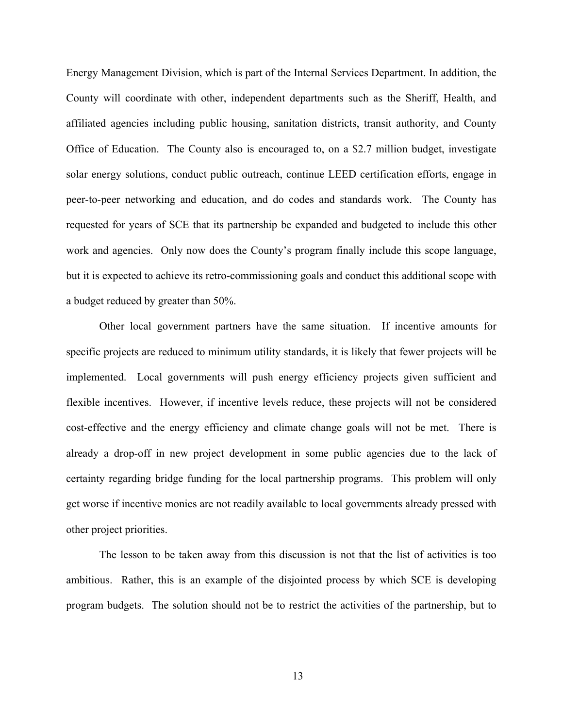Energy Management Division, which is part of the Internal Services Department. In addition, the County will coordinate with other, independent departments such as the Sheriff, Health, and affiliated agencies including public housing, sanitation districts, transit authority, and County Office of Education. The County also is encouraged to, on a \$2.7 million budget, investigate solar energy solutions, conduct public outreach, continue LEED certification efforts, engage in peer-to-peer networking and education, and do codes and standards work. The County has requested for years of SCE that its partnership be expanded and budgeted to include this other work and agencies. Only now does the County's program finally include this scope language, but it is expected to achieve its retro-commissioning goals and conduct this additional scope with a budget reduced by greater than 50%.

 Other local government partners have the same situation. If incentive amounts for specific projects are reduced to minimum utility standards, it is likely that fewer projects will be implemented. Local governments will push energy efficiency projects given sufficient and flexible incentives. However, if incentive levels reduce, these projects will not be considered cost-effective and the energy efficiency and climate change goals will not be met. There is already a drop-off in new project development in some public agencies due to the lack of certainty regarding bridge funding for the local partnership programs. This problem will only get worse if incentive monies are not readily available to local governments already pressed with other project priorities.

 The lesson to be taken away from this discussion is not that the list of activities is too ambitious. Rather, this is an example of the disjointed process by which SCE is developing program budgets. The solution should not be to restrict the activities of the partnership, but to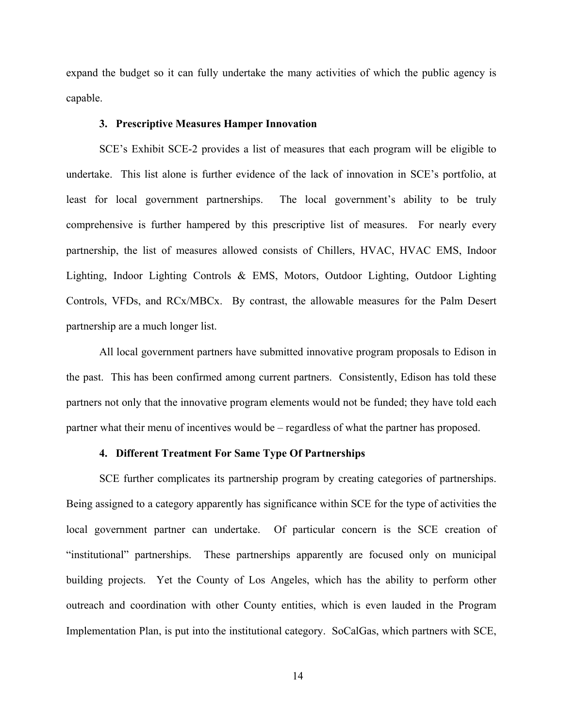expand the budget so it can fully undertake the many activities of which the public agency is capable.

#### **3. Prescriptive Measures Hamper Innovation**

 SCE's Exhibit SCE-2 provides a list of measures that each program will be eligible to undertake. This list alone is further evidence of the lack of innovation in SCE's portfolio, at least for local government partnerships. The local government's ability to be truly comprehensive is further hampered by this prescriptive list of measures. For nearly every partnership, the list of measures allowed consists of Chillers, HVAC, HVAC EMS, Indoor Lighting, Indoor Lighting Controls & EMS, Motors, Outdoor Lighting, Outdoor Lighting Controls, VFDs, and RCx/MBCx. By contrast, the allowable measures for the Palm Desert partnership are a much longer list.

 All local government partners have submitted innovative program proposals to Edison in the past. This has been confirmed among current partners. Consistently, Edison has told these partners not only that the innovative program elements would not be funded; they have told each partner what their menu of incentives would be – regardless of what the partner has proposed.

#### **4. Different Treatment For Same Type Of Partnerships**

SCE further complicates its partnership program by creating categories of partnerships. Being assigned to a category apparently has significance within SCE for the type of activities the local government partner can undertake. Of particular concern is the SCE creation of "institutional" partnerships. These partnerships apparently are focused only on municipal building projects. Yet the County of Los Angeles, which has the ability to perform other outreach and coordination with other County entities, which is even lauded in the Program Implementation Plan, is put into the institutional category. SoCalGas, which partners with SCE,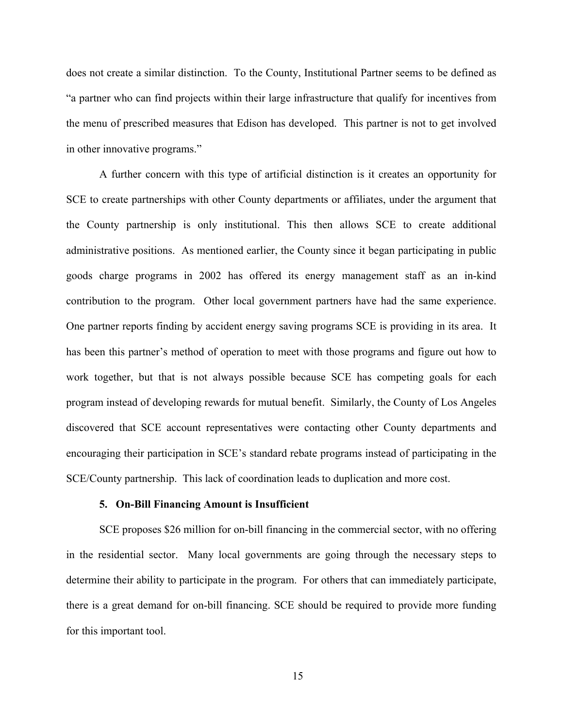does not create a similar distinction. To the County, Institutional Partner seems to be defined as "a partner who can find projects within their large infrastructure that qualify for incentives from the menu of prescribed measures that Edison has developed. This partner is not to get involved in other innovative programs."

A further concern with this type of artificial distinction is it creates an opportunity for SCE to create partnerships with other County departments or affiliates, under the argument that the County partnership is only institutional. This then allows SCE to create additional administrative positions. As mentioned earlier, the County since it began participating in public goods charge programs in 2002 has offered its energy management staff as an in-kind contribution to the program. Other local government partners have had the same experience. One partner reports finding by accident energy saving programs SCE is providing in its area. It has been this partner's method of operation to meet with those programs and figure out how to work together, but that is not always possible because SCE has competing goals for each program instead of developing rewards for mutual benefit. Similarly, the County of Los Angeles discovered that SCE account representatives were contacting other County departments and encouraging their participation in SCE's standard rebate programs instead of participating in the SCE/County partnership. This lack of coordination leads to duplication and more cost.

#### **5. On-Bill Financing Amount is Insufficient**

SCE proposes \$26 million for on-bill financing in the commercial sector, with no offering in the residential sector. Many local governments are going through the necessary steps to determine their ability to participate in the program. For others that can immediately participate, there is a great demand for on-bill financing. SCE should be required to provide more funding for this important tool.

15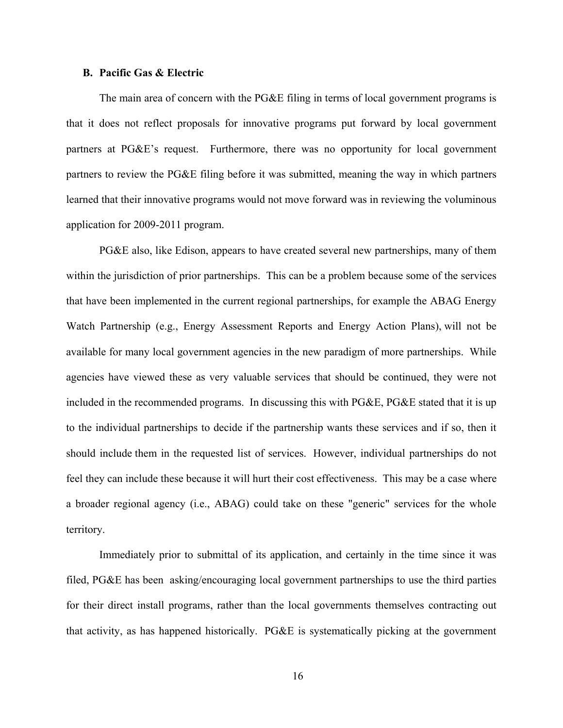#### **B. Pacific Gas & Electric**

The main area of concern with the PG&E filing in terms of local government programs is that it does not reflect proposals for innovative programs put forward by local government partners at PG&E's request. Furthermore, there was no opportunity for local government partners to review the PG&E filing before it was submitted, meaning the way in which partners learned that their innovative programs would not move forward was in reviewing the voluminous application for 2009-2011 program.

PG&E also, like Edison, appears to have created several new partnerships, many of them within the jurisdiction of prior partnerships. This can be a problem because some of the services that have been implemented in the current regional partnerships, for example the ABAG Energy Watch Partnership (e.g., Energy Assessment Reports and Energy Action Plans), will not be available for many local government agencies in the new paradigm of more partnerships. While agencies have viewed these as very valuable services that should be continued, they were not included in the recommended programs. In discussing this with PG&E, PG&E stated that it is up to the individual partnerships to decide if the partnership wants these services and if so, then it should include them in the requested list of services. However, individual partnerships do not feel they can include these because it will hurt their cost effectiveness. This may be a case where a broader regional agency (i.e., ABAG) could take on these "generic" services for the whole territory.

Immediately prior to submittal of its application, and certainly in the time since it was filed, PG&E has been asking/encouraging local government partnerships to use the third parties for their direct install programs, rather than the local governments themselves contracting out that activity, as has happened historically. PG&E is systematically picking at the government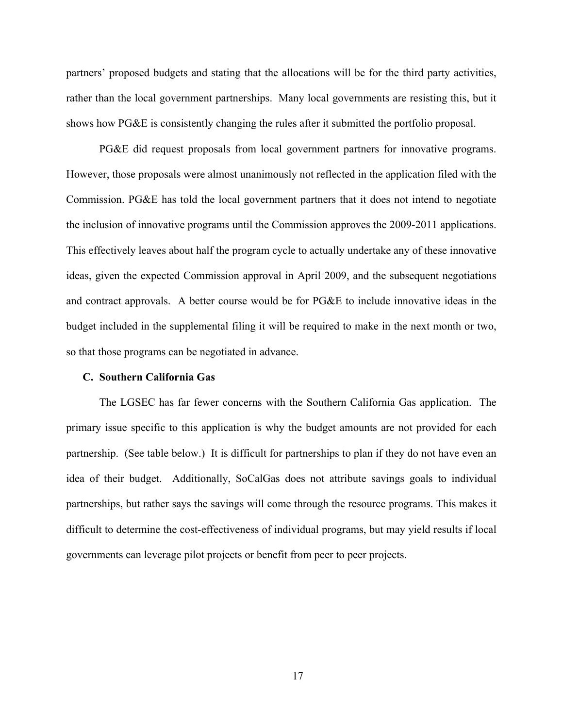partners' proposed budgets and stating that the allocations will be for the third party activities, rather than the local government partnerships. Many local governments are resisting this, but it shows how PG&E is consistently changing the rules after it submitted the portfolio proposal.

PG&E did request proposals from local government partners for innovative programs. However, those proposals were almost unanimously not reflected in the application filed with the Commission. PG&E has told the local government partners that it does not intend to negotiate the inclusion of innovative programs until the Commission approves the 2009-2011 applications. This effectively leaves about half the program cycle to actually undertake any of these innovative ideas, given the expected Commission approval in April 2009, and the subsequent negotiations and contract approvals. A better course would be for PG&E to include innovative ideas in the budget included in the supplemental filing it will be required to make in the next month or two, so that those programs can be negotiated in advance.

#### **C. Southern California Gas**

 The LGSEC has far fewer concerns with the Southern California Gas application. The primary issue specific to this application is why the budget amounts are not provided for each partnership. (See table below.) It is difficult for partnerships to plan if they do not have even an idea of their budget. Additionally, SoCalGas does not attribute savings goals to individual partnerships, but rather says the savings will come through the resource programs. This makes it difficult to determine the cost-effectiveness of individual programs, but may yield results if local governments can leverage pilot projects or benefit from peer to peer projects.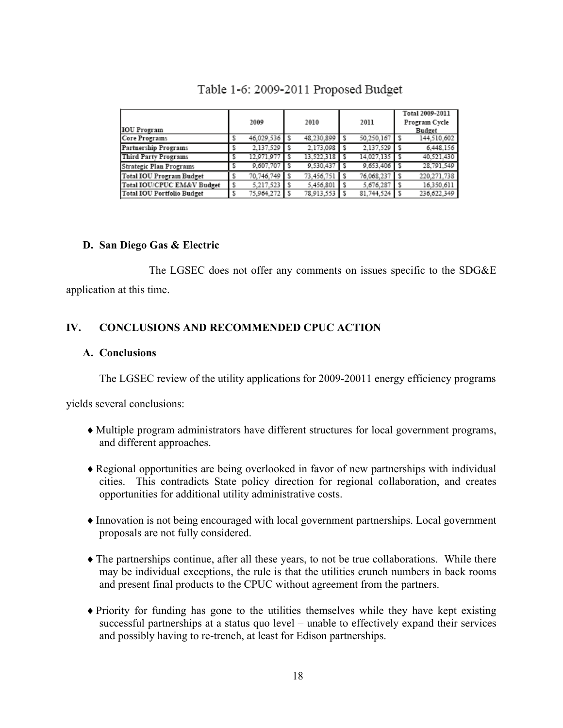|                                 |      |            |  |              |  |                |  | Total 2009-2011 |  |
|---------------------------------|------|------------|--|--------------|--|----------------|--|-----------------|--|
|                                 | 2009 |            |  | 2010         |  | 2011           |  | Program Cycle   |  |
| <b>IOU Program</b>              |      |            |  |              |  |                |  | <b>Budget</b>   |  |
| Core Programs                   |      | 46.029.536 |  | 48.230.899   |  | 50.250.167     |  | 144.510.602     |  |
| Partnership Programs            |      | 2.137.529  |  | 2.173.098    |  | 2.137.529      |  | 6,448,156       |  |
| <b>Third Party Programs</b>     |      | 12.971.977 |  | 13.522.318   |  | 14.027.135     |  | 40.521.430      |  |
| Strategic Plan Programs         |      | 9.607.707  |  | 9.530.437    |  | $9,653,406$ \$ |  | 28,791.549      |  |
| <b>Total IOU Program Budget</b> |      | 70,746,749 |  | 73.456.751   |  | 76.068.237     |  | 220.271.738     |  |
| Total IOU/CPUC EM&V Budget      |      | 5.217.523  |  | 5.456.801    |  | 5.676.287      |  | 16.350.611      |  |
| Total IOU Portfolio Budget      |      | 75.964.272 |  | 78.913.553 S |  | 81.744.524     |  | 236.622.349     |  |

# Table 1-6: 2009-2011 Proposed Budget

## **D. San Diego Gas & Electric**

 The LGSEC does not offer any comments on issues specific to the SDG&E application at this time.

# **IV. CONCLUSIONS AND RECOMMENDED CPUC ACTION**

## **A. Conclusions**

The LGSEC review of the utility applications for 2009-20011 energy efficiency programs

yields several conclusions:

- ♦Multiple program administrators have different structures for local government programs, and different approaches.
- ♦Regional opportunities are being overlooked in favor of new partnerships with individual cities. This contradicts State policy direction for regional collaboration, and creates opportunities for additional utility administrative costs.
- ♦Innovation is not being encouraged with local government partnerships. Local government proposals are not fully considered.
- ♦The partnerships continue, after all these years, to not be true collaborations. While there may be individual exceptions, the rule is that the utilities crunch numbers in back rooms and present final products to the CPUC without agreement from the partners.
- ♦Priority for funding has gone to the utilities themselves while they have kept existing successful partnerships at a status quo level – unable to effectively expand their services and possibly having to re-trench, at least for Edison partnerships.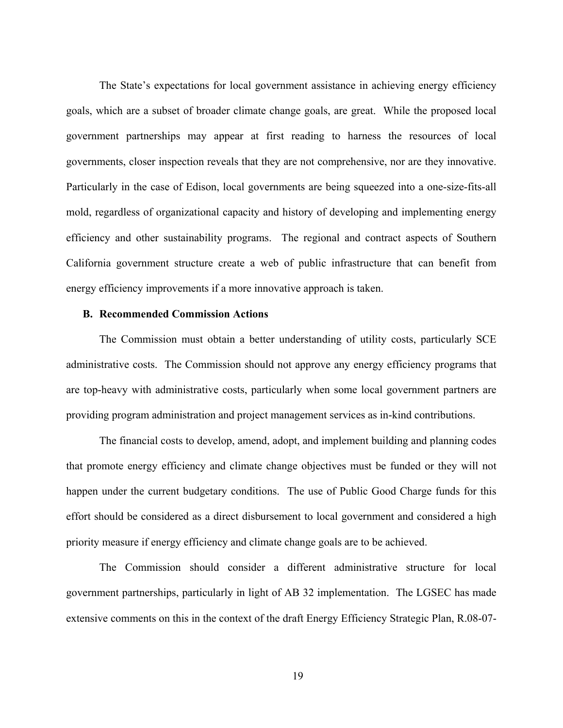The State's expectations for local government assistance in achieving energy efficiency goals, which are a subset of broader climate change goals, are great. While the proposed local government partnerships may appear at first reading to harness the resources of local governments, closer inspection reveals that they are not comprehensive, nor are they innovative. Particularly in the case of Edison, local governments are being squeezed into a one-size-fits-all mold, regardless of organizational capacity and history of developing and implementing energy efficiency and other sustainability programs. The regional and contract aspects of Southern California government structure create a web of public infrastructure that can benefit from energy efficiency improvements if a more innovative approach is taken.

#### **B. Recommended Commission Actions**

 The Commission must obtain a better understanding of utility costs, particularly SCE administrative costs. The Commission should not approve any energy efficiency programs that are top-heavy with administrative costs, particularly when some local government partners are providing program administration and project management services as in-kind contributions.

 The financial costs to develop, amend, adopt, and implement building and planning codes that promote energy efficiency and climate change objectives must be funded or they will not happen under the current budgetary conditions. The use of Public Good Charge funds for this effort should be considered as a direct disbursement to local government and considered a high priority measure if energy efficiency and climate change goals are to be achieved.

 The Commission should consider a different administrative structure for local government partnerships, particularly in light of AB 32 implementation. The LGSEC has made extensive comments on this in the context of the draft Energy Efficiency Strategic Plan, R.08-07-

19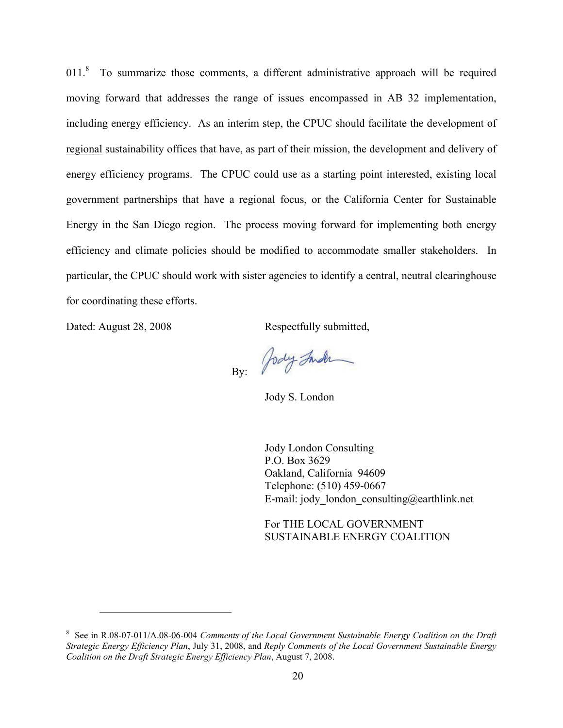$011<sup>8</sup>$  To summarize those comments, a different administrative approach will be required moving forward that addresses the range of issues encompassed in AB 32 implementation, including energy efficiency. As an interim step, the CPUC should facilitate the development of regional sustainability offices that have, as part of their mission, the development and delivery of energy efficiency programs. The CPUC could use as a starting point interested, existing local government partnerships that have a regional focus, or the California Center for Sustainable Energy in the San Diego region. The process moving forward for implementing both energy efficiency and climate policies should be modified to accommodate smaller stakeholders. In particular, the CPUC should work with sister agencies to identify a central, neutral clearinghouse for coordinating these efforts.

Dated: August 28, 2008 Respectfully submitted,

 $\overline{a}$ 

Jody Inder By:

Jody S. London

Jody London Consulting P.O. Box 3629 Oakland, California 94609 Telephone: (510) 459-0667 E-mail: jody london consulting@earthlink.net

For THE LOCAL GOVERNMENT SUSTAINABLE ENERGY COALITION

<sup>&</sup>lt;sup>8</sup> See in R.08-07-011/A.08-06-004 *Comments of the Local Government Sustainable Energy Coalition on the Draft Strategic Energy Efficiency Plan*, July 31, 2008, and *Reply Comments of the Local Government Sustainable Energy Coalition on the Draft Strategic Energy Efficiency Plan*, August 7, 2008.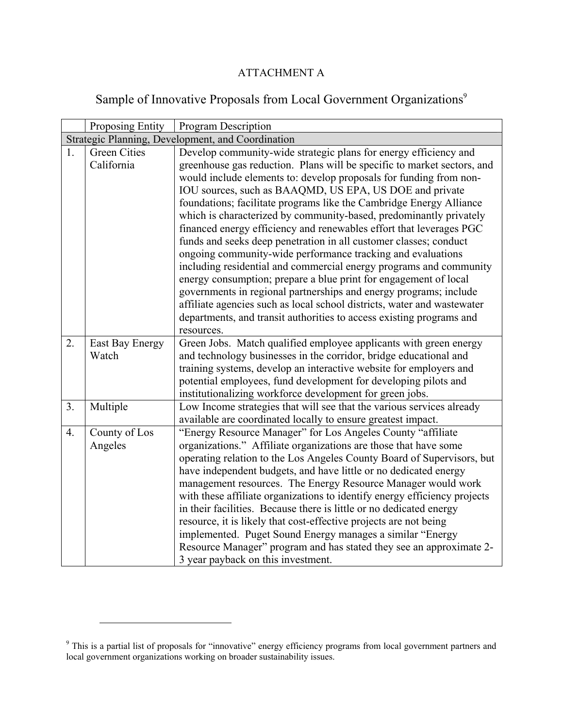# ATTACHMENT A

# Sample of Innovative Proposals from Local Government Organizations<sup>9</sup>

|                | Proposing Entity    | Program Description                                                                                                                       |  |  |  |
|----------------|---------------------|-------------------------------------------------------------------------------------------------------------------------------------------|--|--|--|
|                |                     | Strategic Planning, Development, and Coordination                                                                                         |  |  |  |
| 1.             | <b>Green Cities</b> | Develop community-wide strategic plans for energy efficiency and                                                                          |  |  |  |
|                | California          | greenhouse gas reduction. Plans will be specific to market sectors, and                                                                   |  |  |  |
|                |                     | would include elements to: develop proposals for funding from non-                                                                        |  |  |  |
|                |                     | IOU sources, such as BAAQMD, US EPA, US DOE and private                                                                                   |  |  |  |
|                |                     | foundations; facilitate programs like the Cambridge Energy Alliance<br>which is characterized by community-based, predominantly privately |  |  |  |
|                |                     | financed energy efficiency and renewables effort that leverages PGC                                                                       |  |  |  |
|                |                     | funds and seeks deep penetration in all customer classes; conduct                                                                         |  |  |  |
|                |                     | ongoing community-wide performance tracking and evaluations                                                                               |  |  |  |
|                |                     | including residential and commercial energy programs and community                                                                        |  |  |  |
|                |                     | energy consumption; prepare a blue print for engagement of local                                                                          |  |  |  |
|                |                     | governments in regional partnerships and energy programs; include                                                                         |  |  |  |
|                |                     | affiliate agencies such as local school districts, water and wastewater                                                                   |  |  |  |
|                |                     | departments, and transit authorities to access existing programs and                                                                      |  |  |  |
|                |                     | resources.                                                                                                                                |  |  |  |
| 2.             | East Bay Energy     | Green Jobs. Match qualified employee applicants with green energy                                                                         |  |  |  |
|                | Watch               | and technology businesses in the corridor, bridge educational and<br>training systems, develop an interactive website for employers and   |  |  |  |
|                |                     | potential employees, fund development for developing pilots and                                                                           |  |  |  |
|                |                     | institutionalizing workforce development for green jobs.                                                                                  |  |  |  |
| 3 <sub>1</sub> | Multiple            | Low Income strategies that will see that the various services already                                                                     |  |  |  |
|                |                     | available are coordinated locally to ensure greatest impact.                                                                              |  |  |  |
| 4.             | County of Los       | "Energy Resource Manager" for Los Angeles County "affiliate"                                                                              |  |  |  |
|                | Angeles             | organizations." Affiliate organizations are those that have some                                                                          |  |  |  |
|                |                     | operating relation to the Los Angeles County Board of Supervisors, but                                                                    |  |  |  |
|                |                     | have independent budgets, and have little or no dedicated energy                                                                          |  |  |  |
|                |                     | management resources. The Energy Resource Manager would work<br>with these affiliate organizations to identify energy efficiency projects |  |  |  |
|                |                     | in their facilities. Because there is little or no dedicated energy                                                                       |  |  |  |
|                |                     | resource, it is likely that cost-effective projects are not being                                                                         |  |  |  |
|                |                     | implemented. Puget Sound Energy manages a similar "Energy                                                                                 |  |  |  |
|                |                     | Resource Manager" program and has stated they see an approximate 2-                                                                       |  |  |  |
|                |                     | 3 year payback on this investment.                                                                                                        |  |  |  |

 $\overline{a}$ 

<sup>&</sup>lt;sup>9</sup> This is a partial list of proposals for "innovative" energy efficiency programs from local government partners and local government organizations working on broader sustainability issues.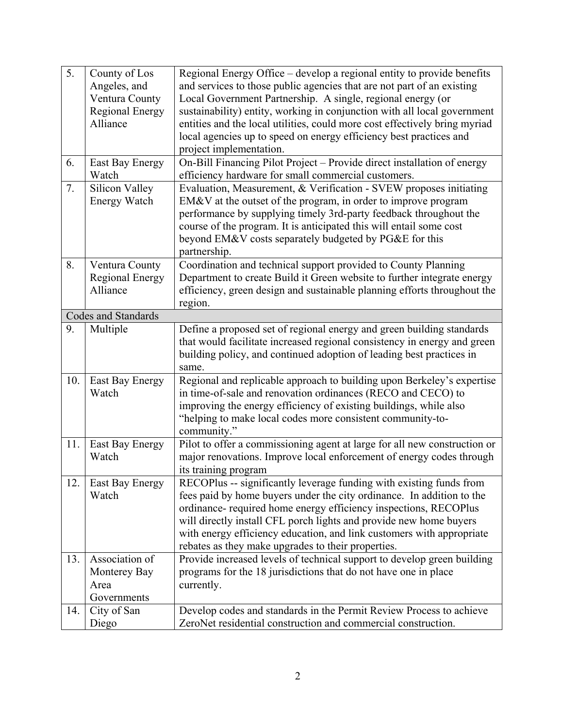| 5 <sub>1</sub> | County of Los          | Regional Energy Office – develop a regional entity to provide benefits     |
|----------------|------------------------|----------------------------------------------------------------------------|
|                | Angeles, and           | and services to those public agencies that are not part of an existing     |
|                | Ventura County         | Local Government Partnership. A single, regional energy (or                |
|                | <b>Regional Energy</b> | sustainability) entity, working in conjunction with all local government   |
|                | Alliance               | entities and the local utilities, could more cost effectively bring myriad |
|                |                        | local agencies up to speed on energy efficiency best practices and         |
|                |                        | project implementation.                                                    |
| 6.             | <b>East Bay Energy</b> | On-Bill Financing Pilot Project - Provide direct installation of energy    |
|                | Watch                  | efficiency hardware for small commercial customers.                        |
| 7.             | Silicon Valley         | Evaluation, Measurement, & Verification - SVEW proposes initiating         |
|                | <b>Energy Watch</b>    | EM&V at the outset of the program, in order to improve program             |
|                |                        | performance by supplying timely 3rd-party feedback throughout the          |
|                |                        | course of the program. It is anticipated this will entail some cost        |
|                |                        | beyond EM&V costs separately budgeted by PG&E for this                     |
|                |                        | partnership.                                                               |
| 8.             | Ventura County         | Coordination and technical support provided to County Planning             |
|                | <b>Regional Energy</b> | Department to create Build it Green website to further integrate energy    |
|                | Alliance               | efficiency, green design and sustainable planning efforts throughout the   |
|                |                        | region.                                                                    |
|                | Codes and Standards    |                                                                            |
| 9.             | Multiple               | Define a proposed set of regional energy and green building standards      |
|                |                        | that would facilitate increased regional consistency in energy and green   |
|                |                        | building policy, and continued adoption of leading best practices in       |
|                |                        | same.                                                                      |
| 10.            | East Bay Energy        | Regional and replicable approach to building upon Berkeley's expertise     |
|                | Watch                  | in time-of-sale and renovation ordinances (RECO and CECO) to               |
|                |                        | improving the energy efficiency of existing buildings, while also          |
|                |                        | "helping to make local codes more consistent community-to-                 |
|                |                        | community."                                                                |
| 11.            | East Bay Energy        | Pilot to offer a commissioning agent at large for all new construction or  |
|                | Watch                  | major renovations. Improve local enforcement of energy codes through       |
|                |                        | its training program                                                       |
| 12.            | East Bay Energy        | RECOPlus -- significantly leverage funding with existing funds from        |
|                | Watch                  | fees paid by home buyers under the city ordinance. In addition to the      |
|                |                        | ordinance- required home energy efficiency inspections, RECOPlus           |
|                |                        | will directly install CFL porch lights and provide new home buyers         |
|                |                        | with energy efficiency education, and link customers with appropriate      |
|                |                        | rebates as they make upgrades to their properties.                         |
| 13.            | Association of         | Provide increased levels of technical support to develop green building    |
|                | Monterey Bay           | programs for the 18 jurisdictions that do not have one in place            |
|                |                        |                                                                            |
|                | Area                   | currently.                                                                 |
|                | Governments            |                                                                            |
| 14.            | City of San            | Develop codes and standards in the Permit Review Process to achieve        |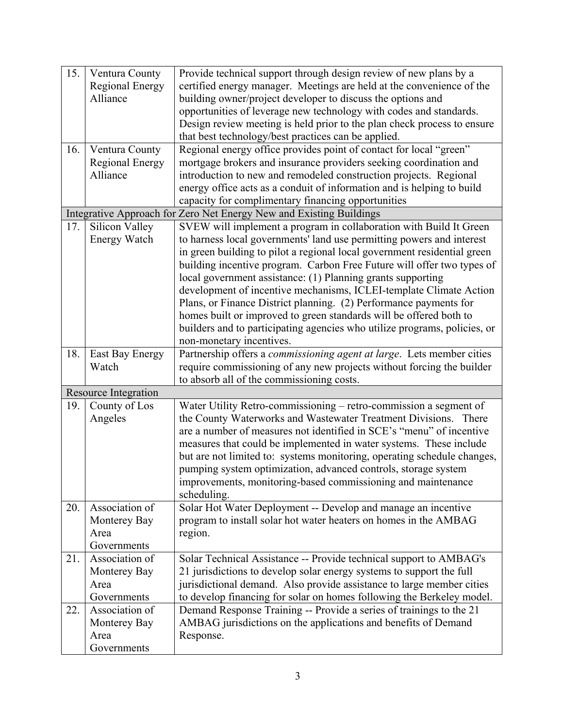| 15. | Ventura County              | Provide technical support through design review of new plans by a         |
|-----|-----------------------------|---------------------------------------------------------------------------|
|     | <b>Regional Energy</b>      | certified energy manager. Meetings are held at the convenience of the     |
|     | Alliance                    | building owner/project developer to discuss the options and               |
|     |                             | opportunities of leverage new technology with codes and standards.        |
|     |                             | Design review meeting is held prior to the plan check process to ensure   |
|     |                             | that best technology/best practices can be applied.                       |
| 16. | Ventura County              | Regional energy office provides point of contact for local "green"        |
|     | <b>Regional Energy</b>      | mortgage brokers and insurance providers seeking coordination and         |
|     | Alliance                    | introduction to new and remodeled construction projects. Regional         |
|     |                             | energy office acts as a conduit of information and is helping to build    |
|     |                             | capacity for complimentary financing opportunities                        |
|     |                             | Integrative Approach for Zero Net Energy New and Existing Buildings       |
| 17. | Silicon Valley              | SVEW will implement a program in collaboration with Build It Green        |
|     | <b>Energy Watch</b>         | to harness local governments' land use permitting powers and interest     |
|     |                             | in green building to pilot a regional local government residential green  |
|     |                             | building incentive program. Carbon Free Future will offer two types of    |
|     |                             | local government assistance: (1) Planning grants supporting               |
|     |                             | development of incentive mechanisms, ICLEI-template Climate Action        |
|     |                             | Plans, or Finance District planning. (2) Performance payments for         |
|     |                             | homes built or improved to green standards will be offered both to        |
|     |                             | builders and to participating agencies who utilize programs, policies, or |
|     |                             | non-monetary incentives.                                                  |
| 18. | East Bay Energy             | Partnership offers a commissioning agent at large. Lets member cities     |
|     | Watch                       |                                                                           |
|     |                             | require commissioning of any new projects without forcing the builder     |
|     |                             | to absorb all of the commissioning costs.                                 |
|     | <b>Resource Integration</b> |                                                                           |
| 19. | County of Los               | Water Utility Retro-commissioning - retro-commission a segment of         |
|     | Angeles                     | the County Waterworks and Wastewater Treatment Divisions. There           |
|     |                             | are a number of measures not identified in SCE's "menu" of incentive      |
|     |                             | measures that could be implemented in water systems. These include        |
|     |                             | but are not limited to: systems monitoring, operating schedule changes,   |
|     |                             | pumping system optimization, advanced controls, storage system            |
|     |                             | improvements, monitoring-based commissioning and maintenance              |
|     |                             | scheduling.                                                               |
| 20. | Association of              | Solar Hot Water Deployment -- Develop and manage an incentive             |
|     | Monterey Bay                | program to install solar hot water heaters on homes in the AMBAG          |
|     | Area                        | region.                                                                   |
|     | Governments                 |                                                                           |
| 21. | Association of              | Solar Technical Assistance -- Provide technical support to AMBAG's        |
|     | Monterey Bay                | 21 jurisdictions to develop solar energy systems to support the full      |
|     | Area                        | jurisdictional demand. Also provide assistance to large member cities     |
|     | Governments                 | to develop financing for solar on homes following the Berkeley model.     |
| 22. | Association of              | Demand Response Training -- Provide a series of trainings to the 21       |
|     | Monterey Bay                | AMBAG jurisdictions on the applications and benefits of Demand            |
|     | Area                        | Response.                                                                 |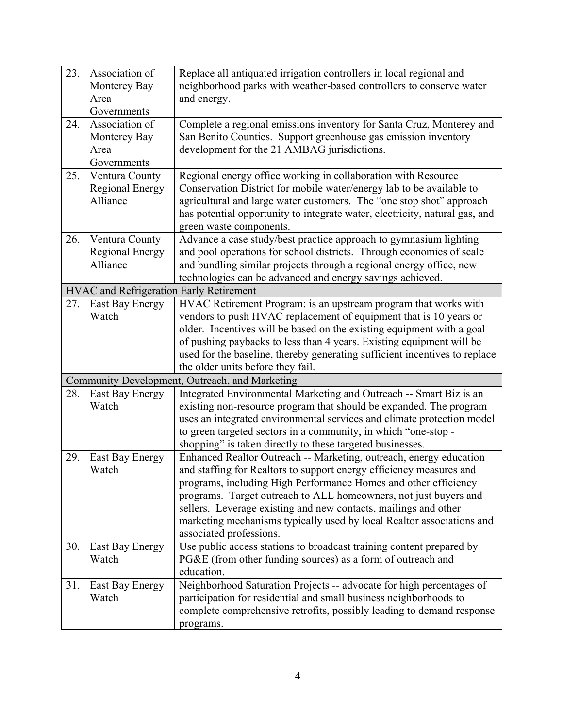| 23. | Association of<br>Monterey Bay<br>Area                | Replace all antiquated irrigation controllers in local regional and<br>neighborhood parks with weather-based controllers to conserve water<br>and energy.                                                                                                                                                                                                                                                                                               |
|-----|-------------------------------------------------------|---------------------------------------------------------------------------------------------------------------------------------------------------------------------------------------------------------------------------------------------------------------------------------------------------------------------------------------------------------------------------------------------------------------------------------------------------------|
|     | Governments                                           |                                                                                                                                                                                                                                                                                                                                                                                                                                                         |
| 24. | Association of<br>Monterey Bay<br>Area<br>Governments | Complete a regional emissions inventory for Santa Cruz, Monterey and<br>San Benito Counties. Support greenhouse gas emission inventory<br>development for the 21 AMBAG jurisdictions.                                                                                                                                                                                                                                                                   |
| 25. | Ventura County                                        | Regional energy office working in collaboration with Resource                                                                                                                                                                                                                                                                                                                                                                                           |
|     | <b>Regional Energy</b><br>Alliance                    | Conservation District for mobile water/energy lab to be available to<br>agricultural and large water customers. The "one stop shot" approach<br>has potential opportunity to integrate water, electricity, natural gas, and<br>green waste components.                                                                                                                                                                                                  |
| 26. | Ventura County                                        | Advance a case study/best practice approach to gymnasium lighting                                                                                                                                                                                                                                                                                                                                                                                       |
|     | <b>Regional Energy</b>                                | and pool operations for school districts. Through economies of scale                                                                                                                                                                                                                                                                                                                                                                                    |
|     | Alliance                                              | and bundling similar projects through a regional energy office, new                                                                                                                                                                                                                                                                                                                                                                                     |
|     |                                                       | technologies can be advanced and energy savings achieved.                                                                                                                                                                                                                                                                                                                                                                                               |
|     | <b>HVAC</b> and Refrigeration Early Retirement        |                                                                                                                                                                                                                                                                                                                                                                                                                                                         |
| 27. | East Bay Energy<br>Watch                              | HVAC Retirement Program: is an upstream program that works with<br>vendors to push HVAC replacement of equipment that is 10 years or<br>older. Incentives will be based on the existing equipment with a goal<br>of pushing paybacks to less than 4 years. Existing equipment will be<br>used for the baseline, thereby generating sufficient incentives to replace<br>the older units before they fail.                                                |
|     |                                                       | Community Development, Outreach, and Marketing                                                                                                                                                                                                                                                                                                                                                                                                          |
| 28. | East Bay Energy<br>Watch                              | Integrated Environmental Marketing and Outreach -- Smart Biz is an<br>existing non-resource program that should be expanded. The program<br>uses an integrated environmental services and climate protection model<br>to green targeted sectors in a community, in which "one-stop -<br>shopping" is taken directly to these targeted businesses.                                                                                                       |
| 29. | East Bay Energy<br>Watch                              | Enhanced Realtor Outreach -- Marketing, outreach, energy education<br>and staffing for Realtors to support energy efficiency measures and<br>programs, including High Performance Homes and other efficiency<br>programs. Target outreach to ALL homeowners, not just buyers and<br>sellers. Leverage existing and new contacts, mailings and other<br>marketing mechanisms typically used by local Realtor associations and<br>associated professions. |
| 30. | East Bay Energy<br>Watch                              | Use public access stations to broadcast training content prepared by<br>PG&E (from other funding sources) as a form of outreach and<br>education.                                                                                                                                                                                                                                                                                                       |
| 31. | East Bay Energy<br>Watch                              | Neighborhood Saturation Projects -- advocate for high percentages of<br>participation for residential and small business neighborhoods to<br>complete comprehensive retrofits, possibly leading to demand response<br>programs.                                                                                                                                                                                                                         |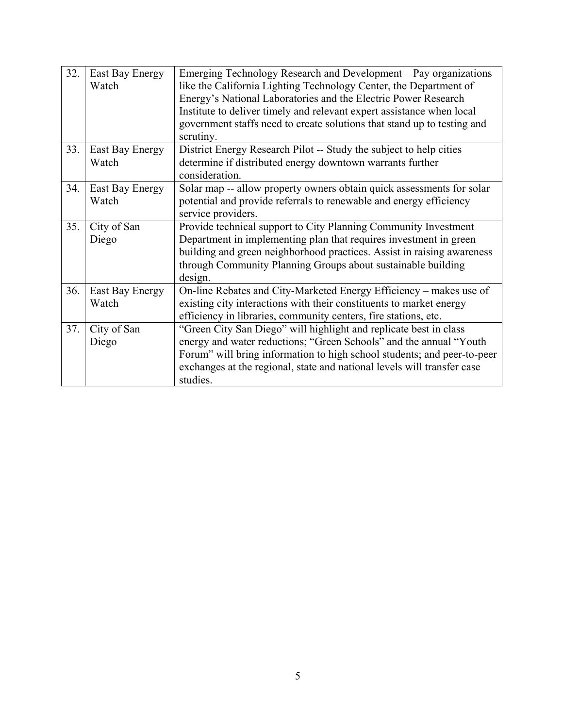| 32. | East Bay Energy<br>Watch | Emerging Technology Research and Development – Pay organizations<br>like the California Lighting Technology Center, the Department of<br>Energy's National Laboratories and the Electric Power Research<br>Institute to deliver timely and relevant expert assistance when local<br>government staffs need to create solutions that stand up to testing and<br>scrutiny. |
|-----|--------------------------|--------------------------------------------------------------------------------------------------------------------------------------------------------------------------------------------------------------------------------------------------------------------------------------------------------------------------------------------------------------------------|
| 33. | East Bay Energy<br>Watch | District Energy Research Pilot -- Study the subject to help cities<br>determine if distributed energy downtown warrants further<br>consideration.                                                                                                                                                                                                                        |
| 34. | East Bay Energy<br>Watch | Solar map -- allow property owners obtain quick assessments for solar<br>potential and provide referrals to renewable and energy efficiency<br>service providers.                                                                                                                                                                                                        |
| 35. | City of San<br>Diego     | Provide technical support to City Planning Community Investment<br>Department in implementing plan that requires investment in green<br>building and green neighborhood practices. Assist in raising awareness<br>through Community Planning Groups about sustainable building<br>design.                                                                                |
| 36. | East Bay Energy<br>Watch | On-line Rebates and City-Marketed Energy Efficiency – makes use of<br>existing city interactions with their constituents to market energy<br>efficiency in libraries, community centers, fire stations, etc.                                                                                                                                                             |
| 37. | City of San<br>Diego     | "Green City San Diego" will highlight and replicate best in class<br>energy and water reductions; "Green Schools" and the annual "Youth<br>Forum" will bring information to high school students; and peer-to-peer<br>exchanges at the regional, state and national levels will transfer case<br>studies.                                                                |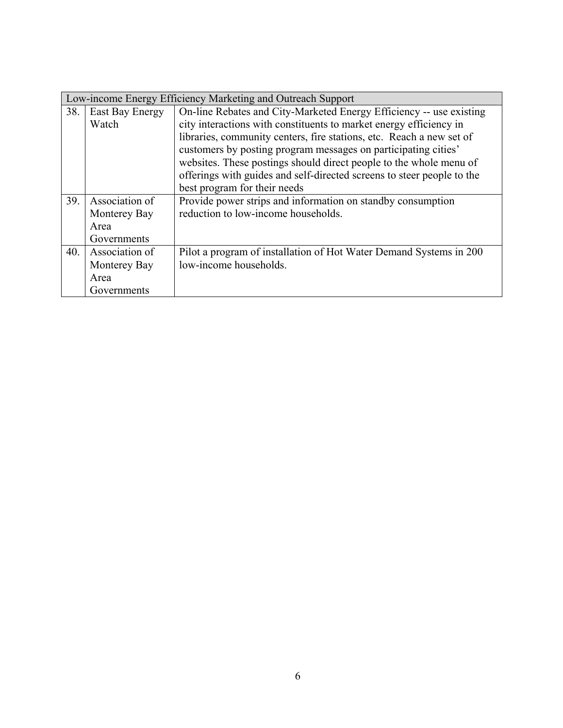|     | Low-income Energy Efficiency Marketing and Outreach Support |                                                                        |  |  |  |
|-----|-------------------------------------------------------------|------------------------------------------------------------------------|--|--|--|
| 38. | East Bay Energy                                             | On-line Rebates and City-Marketed Energy Efficiency -- use existing    |  |  |  |
|     | Watch                                                       | city interactions with constituents to market energy efficiency in     |  |  |  |
|     |                                                             | libraries, community centers, fire stations, etc. Reach a new set of   |  |  |  |
|     |                                                             | customers by posting program messages on participating cities'         |  |  |  |
|     |                                                             | websites. These postings should direct people to the whole menu of     |  |  |  |
|     |                                                             | offerings with guides and self-directed screens to steer people to the |  |  |  |
|     |                                                             | best program for their needs                                           |  |  |  |
| 39. | Association of                                              | Provide power strips and information on standby consumption            |  |  |  |
|     | Monterey Bay                                                | reduction to low-income households.                                    |  |  |  |
|     | Area                                                        |                                                                        |  |  |  |
|     | Governments                                                 |                                                                        |  |  |  |
| 40. | Association of                                              | Pilot a program of installation of Hot Water Demand Systems in 200     |  |  |  |
|     | Monterey Bay                                                | low-income households.                                                 |  |  |  |
|     | Area                                                        |                                                                        |  |  |  |
|     | Governments                                                 |                                                                        |  |  |  |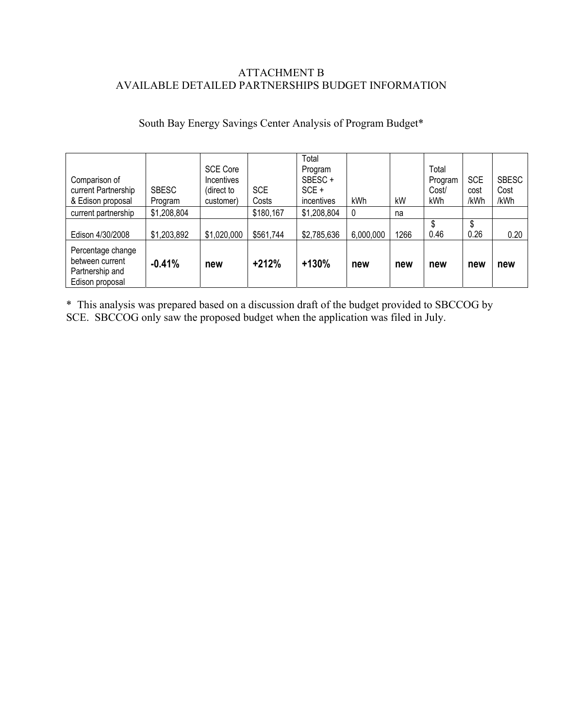## ATTACHMENT B AVAILABLE DETAILED PARTNERSHIPS BUDGET INFORMATION

# South Bay Energy Savings Center Analysis of Program Budget\*

| Comparison of<br>current Partnership<br>& Edison proposal<br>current partnership | <b>SBESC</b><br>Program<br>\$1,208,804 | <b>SCE Core</b><br><b>Incentives</b><br>(direct to<br>customer) | <b>SCE</b><br>Costs<br>\$180,167 | Total<br>Program<br>SBESC+<br>$SCE +$<br>incentives<br>\$1,208,804 | kWh<br>0  | kW<br>na | Total<br>Program<br>Cost/<br>kWh | <b>SCE</b><br>cost<br>/kWh | <b>SBESC</b><br>Cost<br>/kWh |
|----------------------------------------------------------------------------------|----------------------------------------|-----------------------------------------------------------------|----------------------------------|--------------------------------------------------------------------|-----------|----------|----------------------------------|----------------------------|------------------------------|
| Edison 4/30/2008                                                                 | \$1,203,892                            | \$1,020,000                                                     | \$561,744                        | \$2,785,636                                                        | 6,000,000 | 1266     | 0.46                             | \$<br>0.26                 | 0.20                         |
| Percentage change<br>between current<br>Partnership and<br>Edison proposal       | $-0.41%$                               | new                                                             | $+212%$                          | $+130%$                                                            | new       | new      | new                              | new                        | new                          |

\* This analysis was prepared based on a discussion draft of the budget provided to SBCCOG by SCE. SBCCOG only saw the proposed budget when the application was filed in July.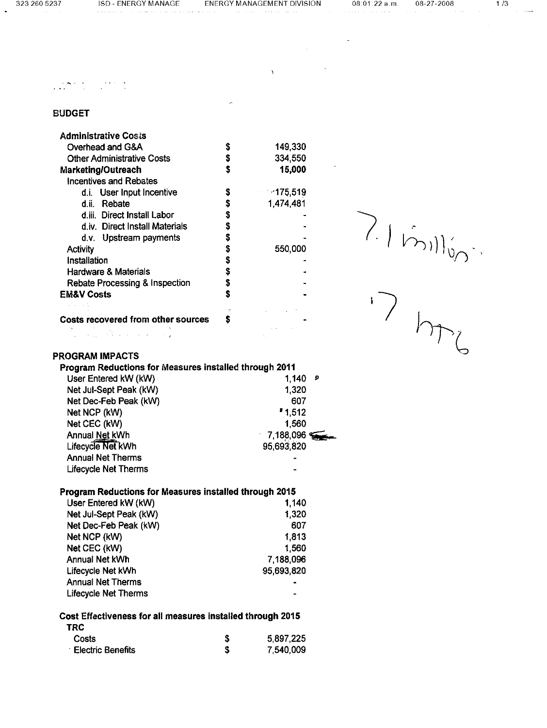$\mathcal{L}$ 

 $\label{eq:2.1} \frac{1}{2} \sum_{i=1}^n \frac{1}{2} \sum_{j=1}^n \frac{1}{2} \sum_{j=1}^n \frac{1}{2} \sum_{j=1}^n \frac{1}{2} \sum_{j=1}^n \frac{1}{2} \sum_{j=1}^n \frac{1}{2} \sum_{j=1}^n \frac{1}{2} \sum_{j=1}^n \frac{1}{2} \sum_{j=1}^n \frac{1}{2} \sum_{j=1}^n \frac{1}{2} \sum_{j=1}^n \frac{1}{2} \sum_{j=1}^n \frac{1}{2} \sum_{j=1}^n \frac{$ 

 $\mathbf{r}$ 

 $\chi_{\rm{max}}$  and  $\chi_{\rm{max}}$ 

 $1/3$ 

## $\mathcal{L}(\mathbf{z},\mathbf{z})$  , where  $\mathcal{L}(\mathbf{z},\mathbf{z})$  , and  $\mathcal{L}(\mathbf{z},\mathbf{z})$  , and

## **BUDGET**

| Administrative Cos≀s                      |    |            |
|-------------------------------------------|----|------------|
| Overhead and G&A                          | S  | 149,330    |
| <b>Other Administrative Costs</b>         | \$ | 334,550    |
| Marketing/Outreach                        | Ŝ  | 15,000     |
| Incentives and Rebates                    |    |            |
| d.i. User Input Incentive                 | \$ | $-175.519$ |
| Rebate<br>d.ii.                           | S  | 1474 481   |
| d.iii. Direct Install Labor               | \$ |            |
| d.iv. Direct Install Materials            | S  |            |
| d.v. Upstream payments                    | S  |            |
| <b>Activity</b>                           | \$ | 550,000    |
| Installation                              | \$ |            |
| <b>Hardware &amp; Materials</b>           | S  |            |
| Rebate Processing & Inspection            | S  |            |
| <b>EM&amp;V Costs</b>                     | S  |            |
|                                           |    |            |
| <b>Costs recovered from other sources</b> | S  |            |
|                                           |    |            |

P.I.Million

#### **PROGRAM IMPACTS**

| Program Reductions for Measures installed through 2011 |              |
|--------------------------------------------------------|--------------|
| User Entered kW (kW)                                   | 1.140<br>Đ   |
| Net Jul-Sept Peak (kW)                                 | 1.320        |
| Net Dec-Feb Peak (kW)                                  | 607          |
| Net NCP (kW)                                           | 1,512        |
| Net CEC (kW)                                           | 1.560        |
| Annual Net kWh                                         | $-7,188,096$ |
| Lifecycle Net kWh                                      | 95 693 820   |
| <b>Annual Net Therms</b>                               |              |
| <b>Lifecycle Net Therms</b>                            |              |

#### Program Reductions for Measures installed through 2015

| User Entered kW (kW)        | 1,140      |
|-----------------------------|------------|
| Net Jul-Sept Peak (kW)      | 1,320      |
| Net Dec-Feb Peak (kW)       | 607        |
| Net NCP (kW)                | 1.813      |
| Net CEC (kW)                | 1560       |
| Annual Net kWh              | 7,188,096  |
| Lifecycle Net kWh           | 95,693,820 |
| <b>Annual Net Therms</b>    |            |
| <b>Lifecycle Net Therms</b> |            |

#### Cost Effectiveness for all measures installed through 2015

| TRC                      |           |
|--------------------------|-----------|
| Costs                    | 5.897,225 |
| <b>Electric Benefits</b> | 7,540,009 |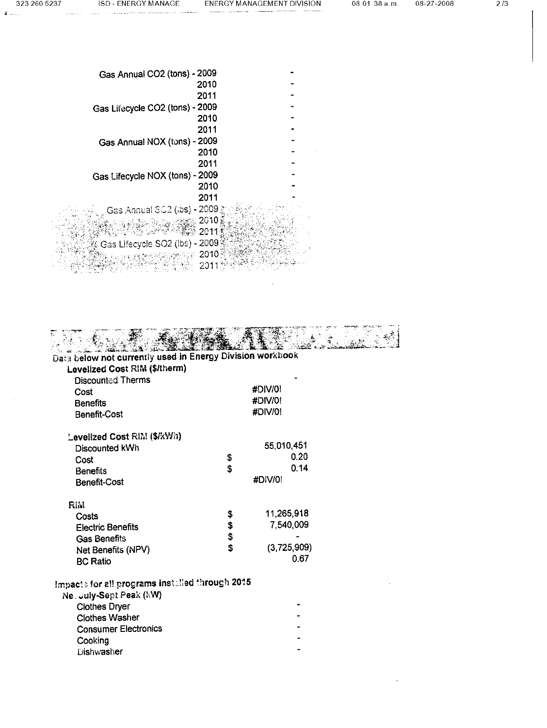$\tilde{\pmb{z}}$  ,  $\ldots$  ,  $\ldots$  .

 $\sim$   $\sim$ 

 $\sim$   $\sim$ 

| Gas Annual CO2 (tons) - 2009    |  |
|---------------------------------|--|
| 2010                            |  |
| 2011                            |  |
| Gas Lifecycle CO2 (tons) - 2009 |  |
| 2010                            |  |
| 2011                            |  |
| Gas Annual NOX (tons) - 2009    |  |
| 2010                            |  |
| 2011                            |  |
| Gas Lifecycle NOX (tons) - 2009 |  |
| 2010                            |  |
| 2011                            |  |
| Gas Annual SC2 (ibs) - 2009 ĝ   |  |
| چ 2010                          |  |
| 2011                            |  |
| Gas Lifecycle SO2 (ibs) - 2009  |  |
| 2010                            |  |
| 201                             |  |

| Data below not currently used in Energy Division workbook |          |             |  |
|-----------------------------------------------------------|----------|-------------|--|
| Levelized Cost RIM (\$/therm)                             |          |             |  |
| <b>Discounted Therms</b>                                  |          |             |  |
| Cost                                                      |          | #DIV/0!     |  |
| <b>Benefits</b>                                           |          | #DIV/0!     |  |
| Benefit-Cost                                              |          | #DIV/0!     |  |
| Levelized Cost RIM (\$/kWh)                               |          |             |  |
| Discounted kWh                                            |          | 55,010,451  |  |
| Cost                                                      | s<br>S   | 0.20        |  |
| <b>Benefits</b>                                           |          | 0.14        |  |
| <b>Benefit-Cost</b>                                       |          | #DIV/0!     |  |
| <b>RIM</b>                                                |          |             |  |
| Costs                                                     | \$       | 11,265,918  |  |
| <b>Electric Benefits</b>                                  | \$<br>\$ | 7,540,009   |  |
| <b>Gas Benefits</b>                                       |          |             |  |
| Net Benefits (NPV)                                        |          | (3,725,909) |  |
| <b>BC Ratio</b>                                           |          | 0.67        |  |
| Impacts for all programs installed through 2015           |          |             |  |
| Ne. July-Sept Peak (kW)                                   |          |             |  |
| <b>Clothes Dryer</b>                                      |          |             |  |
| <b>Clothes Washer</b>                                     |          |             |  |
| <b>Consumer Electronics</b>                               |          |             |  |
| Cooking                                                   |          |             |  |
| <b>Dishwasher</b>                                         |          |             |  |
|                                                           |          |             |  |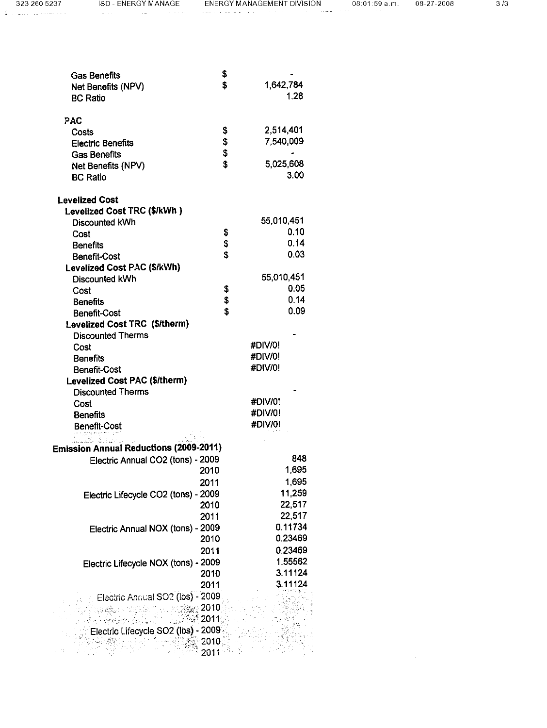$\mathcal{L}^{\text{max}}_{\text{max}}$ 

 $\hat{\mathcal{L}}_{\text{max}}$ 

| <b>Gas Benefits</b><br>Net Benefits (NPV)<br><b>BC Ratio</b> | \$<br>\$        | 1,642,784<br>1.28  |
|--------------------------------------------------------------|-----------------|--------------------|
| PAC                                                          |                 |                    |
| Costs                                                        | \$              | 2,514,401          |
| <b>Electric Benefits</b>                                     |                 | 7,540,009          |
| <b>Gas Benefits</b>                                          | <b>မှ မှ မှ</b> |                    |
| Net Benefits (NPV)                                           |                 | 5,025,608<br>3.00  |
| <b>BC Ratio</b>                                              |                 |                    |
| <b>Levelized Cost</b>                                        |                 |                    |
| Levelized Cost TRC (\$/kWh)                                  |                 |                    |
| Discounted kWh                                               |                 | 55,010,451         |
| Cost                                                         | \$              | 0.10               |
| <b>Benefits</b>                                              | \$              | 0.14               |
| <b>Benefit-Cost</b>                                          | \$              | 0.03               |
| Levelized Cost PAC (\$/kWh)                                  |                 |                    |
| Discounted kWh                                               |                 | 55,010,451<br>0.05 |
| Cost                                                         |                 | 0.14               |
| <b>Benefits</b>                                              | \$<br>\$<br>\$  | 0.09               |
| <b>Benefit-Cost</b><br>Levelized Cost TRC (\$/therm)         |                 |                    |
| <b>Discounted Therms</b>                                     |                 |                    |
| Cost                                                         |                 | #DIV/0!            |
| <b>Benefits</b>                                              |                 | #DIV/0!            |
| <b>Benefit-Cost</b>                                          |                 | #DIV/0!            |
| Levelized Cost PAC (\$/therm)                                |                 |                    |
| <b>Discounted Therms</b>                                     |                 |                    |
| Cost                                                         |                 | #DIV/0!            |
| <b>Benefits</b>                                              |                 | #DIV/0!            |
| <b>Benefit-Cost</b>                                          |                 | #DIV/0!            |
| <b>Emission Annual Reductions (2009-2011)</b>                |                 |                    |
| Electric Annual CO2 (tons) - 2009                            |                 | 848                |
|                                                              | 2010            | 1,695              |
|                                                              | 2011            | 1,695              |
| Electric Lifecycle CO2 (tons) - 2009                         |                 | 11,259             |
|                                                              | 2010            | 22,517             |
|                                                              | 2011            | 22,517             |
| Electric Annual NOX (tons) - 2009                            |                 | 0.11734            |
|                                                              | 2010            | 0.23469            |
|                                                              | 2011            | 0.23469            |
| Electric Lifecycle NOX (tons) - 2009                         |                 | 1.55562            |
|                                                              | 2010            | 3.11124            |
|                                                              | 2011            | 3.11124            |
| Electric Annual SO <sub>2</sub> (lbs) - 2009                 |                 |                    |
|                                                              | $\approx$ 2010  |                    |
|                                                              | ి 2011:         |                    |
| Electric Lifecycle SO2 (lbs) - 2009                          |                 |                    |
|                                                              | 2010            |                    |
|                                                              | 2011            |                    |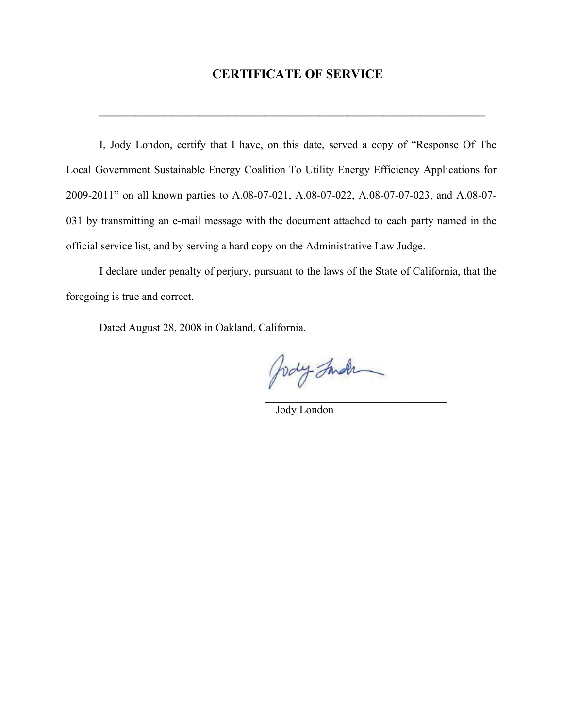# **CERTIFICATE OF SERVICE**

**\_\_\_\_\_\_\_\_\_\_\_\_\_\_\_\_\_\_\_\_\_\_\_\_\_\_\_\_\_\_\_\_\_\_\_\_\_\_\_\_\_\_**

I, Jody London, certify that I have, on this date, served a copy of "Response Of The Local Government Sustainable Energy Coalition To Utility Energy Efficiency Applications for 2009-2011" on all known parties to A.08-07-021, A.08-07-022, A.08-07-07-023, and A.08-07- 031 by transmitting an e-mail message with the document attached to each party named in the official service list, and by serving a hard copy on the Administrative Law Judge.

I declare under penalty of perjury, pursuant to the laws of the State of California, that the foregoing is true and correct.

Dated August 28, 2008 in Oakland, California.

Jody Inder  $\mathcal{L}_\text{max}$  and  $\mathcal{L}_\text{max}$  and  $\mathcal{L}_\text{max}$  and  $\mathcal{L}_\text{max}$  and  $\mathcal{L}_\text{max}$  and  $\mathcal{L}_\text{max}$ 

Jody London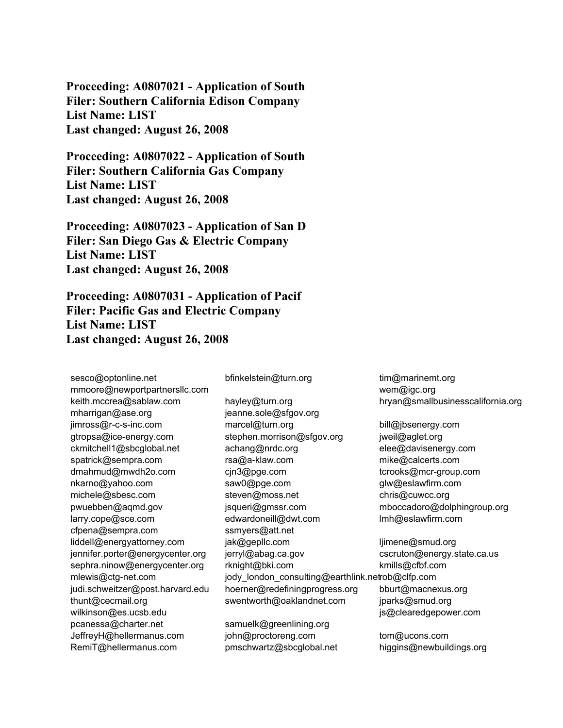**Proceeding: A0807021 - Application of South Filer: Southern California Edison Company List Name: LIST Last changed: August 26, 2008** 

**Proceeding: A0807022 - Application of South Filer: Southern California Gas Company List Name: LIST Last changed: August 26, 2008** 

**Proceeding: A0807023 - Application of San D Filer: San Diego Gas & Electric Company List Name: LIST Last changed: August 26, 2008** 

**Proceeding: A0807031 - Application of Pacif Filer: Pacific Gas and Electric Company List Name: LIST Last changed: August 26, 2008** 

sesco@optonline.net mmoore@newportpartnersllc.com keith.mccrea@sablaw.com mharrigan@ase.org jimross@r-c-s-inc.com gtropsa@ice-energy.com ckmitchell1@sbcglobal.net spatrick@sempra.com dmahmud@mwdh2o.com nkarno@yahoo.com michele@sbesc.com pwuebben@aqmd.gov larry.cope@sce.com cfpena@sempra.com liddell@energyattorney.com jennifer.porter@energycenter.org sephra.ninow@energycenter.org mlewis@ctg-net.com judi.schweitzer@post.harvard.edu thunt@cecmail.org wilkinson@es.ucsb.edu pcanessa@charter.net JeffreyH@hellermanus.com RemiT@hellermanus.com

bfinkelstein@turn.org

hayley@turn.org jeanne.sole@sfgov.org marcel@turn.org stephen.morrison@sfgov.org achang@nrdc.org rsa@a-klaw.com cjn3@pge.com saw0@pge.com steven@moss.net jsqueri@gmssr.com edwardoneill@dwt.com ssmyers@att.net jak@gepllc.com jerryl@abag.ca.gov rknight@bki.com jody\_london\_consulting@earthlink.netrob@clfp.com hoerner@redefiningprogress.org swentworth@oaklandnet.com

samuelk@greenlining.org john@proctoreng.com pmschwartz@sbcglobal.net tim@marinemt.org wem@igc.org hryan@smallbusinesscalifornia.org

bill@jbsenergy.com jweil@aglet.org elee@davisenergy.com mike@calcerts.com tcrooks@mcr-group.com glw@eslawfirm.com chris@cuwcc.org mboccadoro@dolphingroup.org lmh@eslawfirm.com

ljimene@smud.org cscruton@energy.state.ca.us kmills@cfbf.com bburt@macnexus.org jparks@smud.org js@clearedgepower.com

tom@ucons.com higgins@newbuildings.org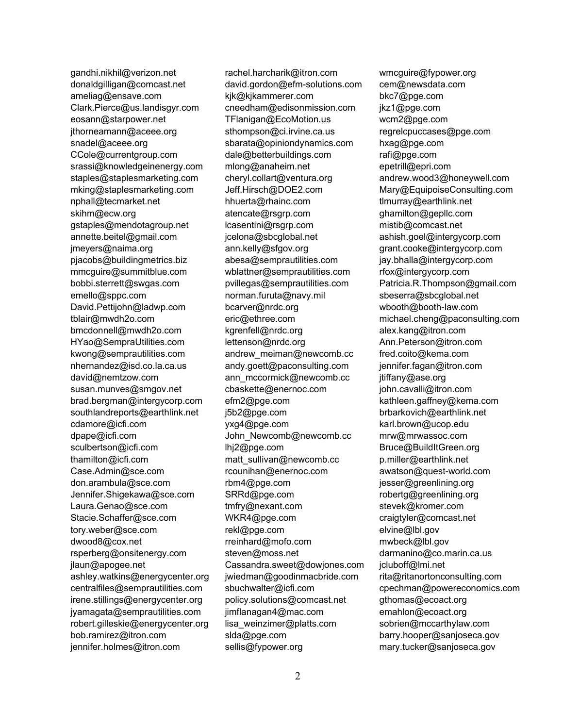gandhi.nikhil@verizon.net donaldgilligan@comcast.net ameliag@ensave.com Clark.Pierce@us.landisgyr.com eosann@starpower.net jthorneamann@aceee.org snadel@aceee.org CCole@currentgroup.com srassi@knowledgeinenergy.com staples@staplesmarketing.com mking@staplesmarketing.com nphall@tecmarket.net skihm@ecw.org gstaples@mendotagroup.net annette.beitel@gmail.com jmeyers@naima.org pjacobs@buildingmetrics.biz mmcguire@summitblue.com bobbi.sterrett@swgas.com emello@sppc.com David.Pettijohn@ladwp.com tblair@mwdh2o.com bmcdonnell@mwdh2o.com HYao@SempraUtilities.com kwong@semprautilities.com nhernandez@isd.co.la.ca.us david@nemtzow.com susan.munves@smgov.net brad.bergman@intergycorp.com southlandreports@earthlink.net cdamore@icfi.com dpape@icfi.com sculbertson@icfi.com thamilton@icfi.com Case.Admin@sce.com don.arambula@sce.com Jennifer.Shigekawa@sce.com Laura.Genao@sce.com Stacie.Schaffer@sce.com tory.weber@sce.com dwood8@cox.net rsperberg@onsitenergy.com jlaun@apogee.net ashley.watkins@energycenter.org centralfiles@semprautilities.com irene.stillings@energycenter.org jyamagata@semprautilities.com robert.gilleskie@energycenter.org bob.ramirez@itron.com jennifer.holmes@itron.com

rachel.harcharik@itron.com david.gordon@efm-solutions.com kjk@kjkammerer.com cneedham@edisonmission.com TFlanigan@EcoMotion.us sthompson@ci.irvine.ca.us sbarata@opiniondynamics.com dale@betterbuildings.com mlong@anaheim.net cheryl.collart@ventura.org Jeff.Hirsch@DOE2.com hhuerta@rhainc.com atencate@rsgrp.com lcasentini@rsgrp.com jcelona@sbcglobal.net ann.kelly@sfgov.org abesa@semprautilities.com wblattner@semprautilities.com pvillegas@semprautilities.com norman.furuta@navy.mil bcarver@nrdc.org eric@ethree.com kgrenfell@nrdc.org lettenson@nrdc.org andrew\_meiman@newcomb.cc andy.goett@paconsulting.com ann\_mccormick@newcomb.cc cbaskette@enernoc.com efm2@pge.com j5b2@pge.com yxg4@pge.com John\_Newcomb@newcomb.cc lhj2@pge.com matt\_sullivan@newcomb.cc rcounihan@enernoc.com rbm4@pge.com SRRd@pge.com tmfry@nexant.com WKR4@pge.com rekl@pge.com rreinhard@mofo.com steven@moss.net Cassandra.sweet@dowjones.com jwiedman@goodinmacbride.com sbuchwalter@icfi.com policy.solutions@comcast.net jimflanagan4@mac.com lisa weinzimer@platts.com slda@pge.com sellis@fypower.org

wmcguire@fypower.org cem@newsdata.com bkc7@pge.com jkz1@pge.com wcm2@pge.com regrelcpuccases@pge.com hxag@pge.com rafi@pge.com epetrill@epri.com andrew.wood3@honeywell.com Mary@EquipoiseConsulting.com tlmurray@earthlink.net ghamilton@gepllc.com mistib@comcast.net ashish.goel@intergycorp.com grant.cooke@intergycorp.com jay.bhalla@intergycorp.com rfox@intergycorp.com Patricia.R.Thompson@gmail.com sbeserra@sbcglobal.net wbooth@booth-law.com michael.cheng@paconsulting.com alex.kang@itron.com Ann.Peterson@itron.com fred.coito@kema.com jennifer.fagan@itron.com jtiffany@ase.org john.cavalli@itron.com kathleen.gaffney@kema.com brbarkovich@earthlink.net karl.brown@ucop.edu mrw@mrwassoc.com Bruce@BuildItGreen.org p.miller@earthlink.net awatson@quest-world.com jesser@greenlining.org robertg@greenlining.org stevek@kromer.com craigtyler@comcast.net elvine@lbl.gov mwbeck@lbl.gov darmanino@co.marin.ca.us jcluboff@lmi.net rita@ritanortonconsulting.com cpechman@powereconomics.com gthomas@ecoact.org emahlon@ecoact.org sobrien@mccarthylaw.com barry.hooper@sanjoseca.gov mary.tucker@sanjoseca.gov